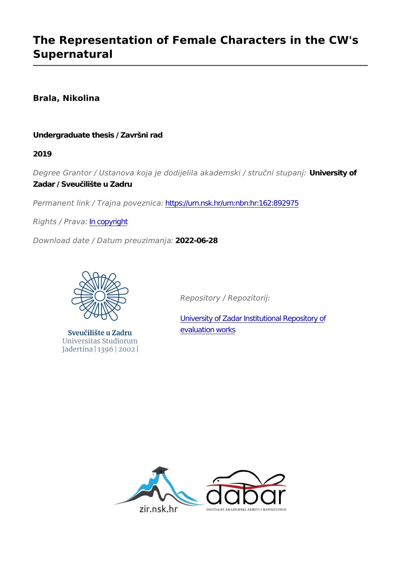# **The Representation of Female Characters in the CW's Supernatural**

# **Brala, Nikolina**

# **Undergraduate thesis / Završni rad**

**2019**

*Degree Grantor / Ustanova koja je dodijelila akademski / stručni stupanj:* **University of Zadar / Sveučilište u Zadru**

*Permanent link / Trajna poveznica:* <https://urn.nsk.hr/urn:nbn:hr:162:892975>

*Rights / Prava:* [In copyright](http://rightsstatements.org/vocab/InC/1.0/)

*Download date / Datum preuzimanja:* **2022-06-28**



Sveučilište u Zadru Universitas Studiorum Jadertina | 1396 | 2002 |

*Repository / Repozitorij:*

[University of Zadar Institutional Repository of](https://repozitorij.unizd.hr) [evaluation works](https://repozitorij.unizd.hr)

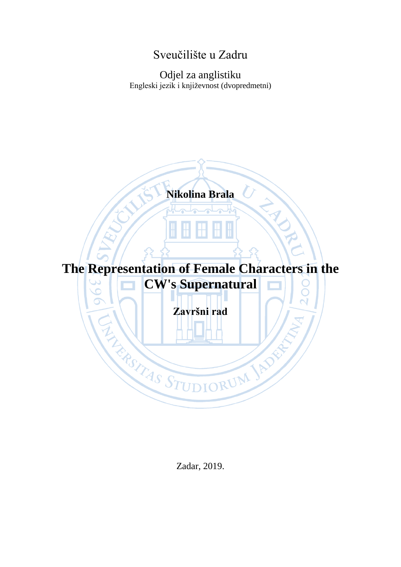# Sveučilište u Zadru

# Odjel za anglistiku Engleski jezik i književnost (dvopredmetni)



Zadar, 2019.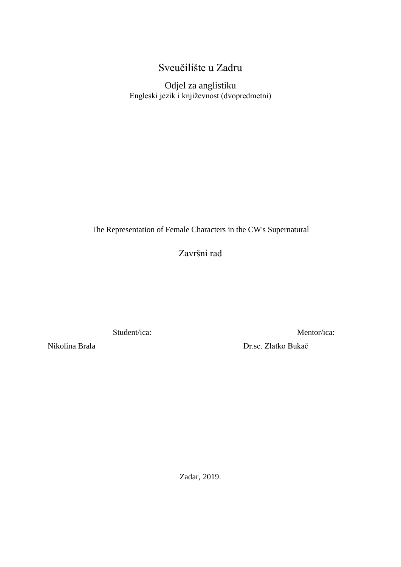# Sveučilište u Zadru

Odjel za anglistiku Engleski jezik i književnost (dvopredmetni)

The Representation of Female Characters in the CW's Supernatural

Završni rad

Student/ica:

Nikolina Brala

Mentor/ica:

Dr.sc. Zlatko Bukač

Zadar, 2019.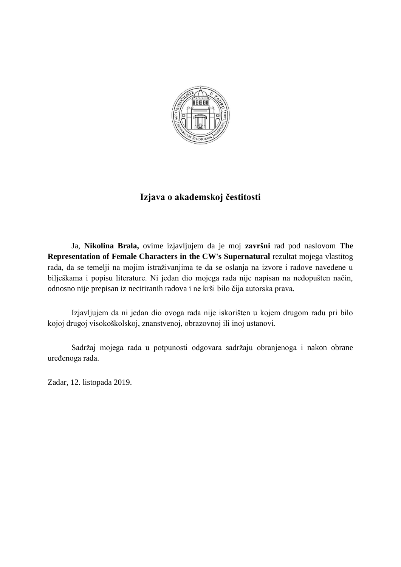

# **Izjava o akademskoj čestitosti**

Ja, **Nikolina Brala,** ovime izjavljujem da je moj **završni** rad pod naslovom **The Representation of Female Characters in the CW's Supernatural** rezultat mojega vlastitog rada, da se temelji na mojim istraživanjima te da se oslanja na izvore i radove navedene u bilješkama i popisu literature. Ni jedan dio mojega rada nije napisan na nedopušten način, odnosno nije prepisan iz necitiranih radova i ne krši bilo čija autorska prava.

Izjavljujem da ni jedan dio ovoga rada nije iskorišten u kojem drugom radu pri bilo kojoj drugoj visokoškolskoj, znanstvenoj, obrazovnoj ili inoj ustanovi.

Sadržaj mojega rada u potpunosti odgovara sadržaju obranjenoga i nakon obrane uređenoga rada.

Zadar, 12. listopada 2019.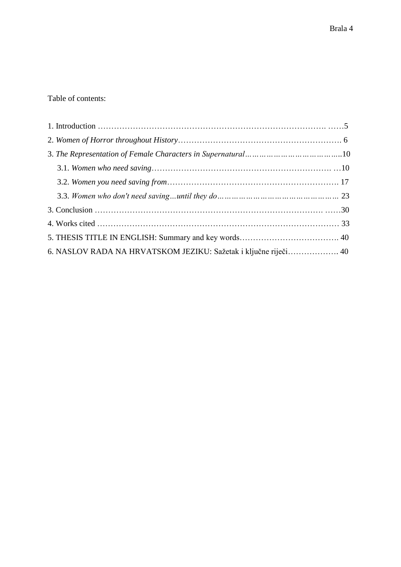| 6. NASLOV RADA NA HRVATSKOM JEZIKU: Sažetak i ključne riječi 40 |  |
|-----------------------------------------------------------------|--|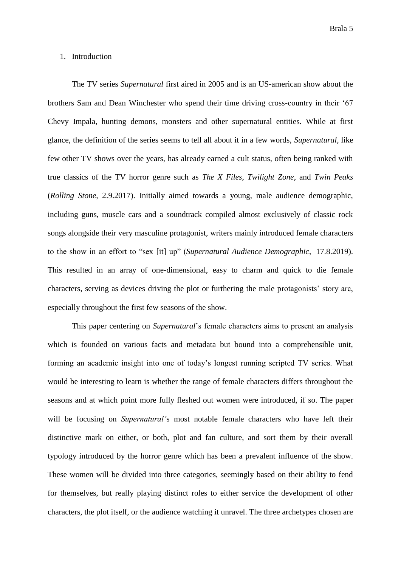#### 1. Introduction

The TV series *Supernatural* first aired in 2005 and is an US-american show about the brothers Sam and Dean Winchester who spend their time driving cross-country in their '67 Chevy Impala, hunting demons, monsters and other supernatural entities. While at first glance, the definition of the series seems to tell all about it in a few words, *Supernatural*, like few other TV shows over the years, has already earned a cult status, often being ranked with true classics of the TV horror genre such as *The X Files*, *Twilight Zone*, and *Twin Peaks* (*Rolling Stone,* 2.9.2017). Initially aimed towards a young, male audience demographic, including guns, muscle cars and a soundtrack compiled almost exclusively of classic rock songs alongside their very masculine protagonist, writers mainly introduced female characters to the show in an effort to "sex [it] up" (*Supernatural Audience Demographic*, 17.8.2019). This resulted in an array of one-dimensional, easy to charm and quick to die female characters, serving as devices driving the plot or furthering the male protagonists' story arc, especially throughout the first few seasons of the show.

This paper centering on *Supernatural*'s female characters aims to present an analysis which is founded on various facts and metadata but bound into a comprehensible unit, forming an academic insight into one of today's longest running scripted TV series. What would be interesting to learn is whether the range of female characters differs throughout the seasons and at which point more fully fleshed out women were introduced, if so. The paper will be focusing on *Supernatural'*s most notable female characters who have left their distinctive mark on either, or both, plot and fan culture, and sort them by their overall typology introduced by the horror genre which has been a prevalent influence of the show. These women will be divided into three categories, seemingly based on their ability to fend for themselves, but really playing distinct roles to either service the development of other characters, the plot itself, or the audience watching it unravel. The three archetypes chosen are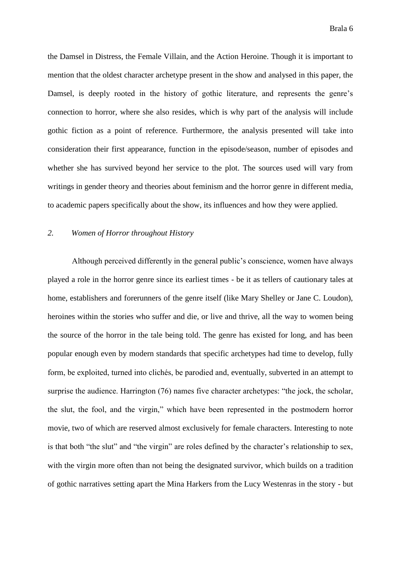the Damsel in Distress, the Female Villain, and the Action Heroine. Though it is important to mention that the oldest character archetype present in the show and analysed in this paper, the Damsel, is deeply rooted in the history of gothic literature, and represents the genre's connection to horror, where she also resides, which is why part of the analysis will include gothic fiction as a point of reference. Furthermore, the analysis presented will take into consideration their first appearance, function in the episode/season, number of episodes and whether she has survived beyond her service to the plot. The sources used will vary from writings in gender theory and theories about feminism and the horror genre in different media, to academic papers specifically about the show, its influences and how they were applied.

## *2. Women of Horror throughout History*

Although perceived differently in the general public's conscience, women have always played a role in the horror genre since its earliest times - be it as tellers of cautionary tales at home, establishers and forerunners of the genre itself (like Mary Shelley or Jane C. Loudon), heroines within the stories who suffer and die, or live and thrive, all the way to women being the source of the horror in the tale being told. The genre has existed for long, and has been popular enough even by modern standards that specific archetypes had time to develop, fully form, be exploited, turned into clichés, be parodied and, eventually, subverted in an attempt to surprise the audience. Harrington (76) names five character archetypes: "the jock, the scholar, the slut, the fool, and the virgin," which have been represented in the postmodern horror movie, two of which are reserved almost exclusively for female characters. Interesting to note is that both "the slut" and "the virgin" are roles defined by the character's relationship to sex, with the virgin more often than not being the designated survivor, which builds on a tradition of gothic narratives setting apart the Mina Harkers from the Lucy Westenras in the story - but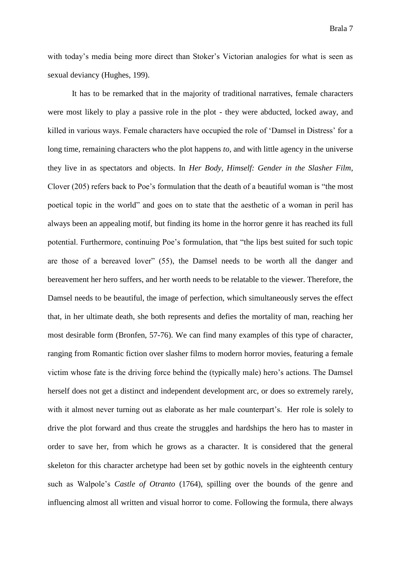with today's media being more direct than Stoker's Victorian analogies for what is seen as sexual deviancy (Hughes, 199).

It has to be remarked that in the majority of traditional narratives, female characters were most likely to play a passive role in the plot - they were abducted, locked away, and killed in various ways. Female characters have occupied the role of 'Damsel in Distress' for a long time, remaining characters who the plot happens *to*, and with little agency in the universe they live in as spectators and objects. In *Her Body, Himself: Gender in the Slasher Film*, Clover (205) refers back to Poe's formulation that the death of a beautiful woman is "the most poetical topic in the world" and goes on to state that the aesthetic of a woman in peril has always been an appealing motif, but finding its home in the horror genre it has reached its full potential. Furthermore, continuing Poe's formulation, that "the lips best suited for such topic are those of a bereaved lover" (55), the Damsel needs to be worth all the danger and bereavement her hero suffers, and her worth needs to be relatable to the viewer. Therefore, the Damsel needs to be beautiful, the image of perfection, which simultaneously serves the effect that, in her ultimate death, she both represents and defies the mortality of man, reaching her most desirable form (Bronfen, 57-76). We can find many examples of this type of character, ranging from Romantic fiction over slasher films to modern horror movies, featuring a female victim whose fate is the driving force behind the (typically male) hero's actions. The Damsel herself does not get a distinct and independent development arc, or does so extremely rarely, with it almost never turning out as elaborate as her male counterpart's. Her role is solely to drive the plot forward and thus create the struggles and hardships the hero has to master in order to save her, from which he grows as a character. It is considered that the general skeleton for this character archetype had been set by gothic novels in the eighteenth century such as Walpole's *Castle of Otranto* (1764), spilling over the bounds of the genre and influencing almost all written and visual horror to come. Following the formula, there always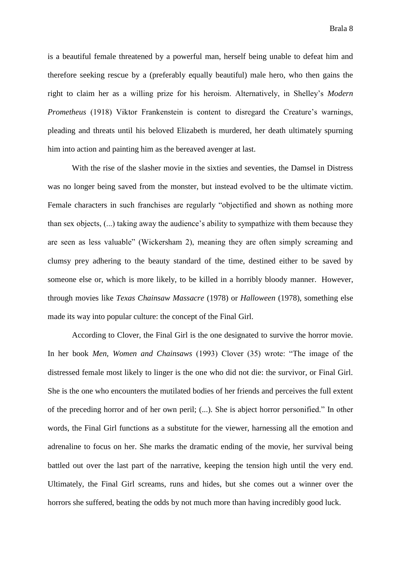is a beautiful female threatened by a powerful man, herself being unable to defeat him and therefore seeking rescue by a (preferably equally beautiful) male hero, who then gains the right to claim her as a willing prize for his heroism. Alternatively, in Shelley's *Modern Prometheus* (1918) Viktor Frankenstein is content to disregard the Creature's warnings, pleading and threats until his beloved Elizabeth is murdered, her death ultimately spurning him into action and painting him as the bereaved avenger at last.

With the rise of the slasher movie in the sixties and seventies, the Damsel in Distress was no longer being saved from the monster, but instead evolved to be the ultimate victim. Female characters in such franchises are regularly "objectified and shown as nothing more than sex objects, (...) taking away the audience's ability to sympathize with them because they are seen as less valuable" (Wickersham 2), meaning they are often simply screaming and clumsy prey adhering to the beauty standard of the time, destined either to be saved by someone else or, which is more likely, to be killed in a horribly bloody manner. However, through movies like *Texas Chainsaw Massacre* (1978) or *Halloween* (1978), something else made its way into popular culture: the concept of the Final Girl.

According to Clover, the Final Girl is the one designated to survive the horror movie. In her book *Men, Women and Chainsaws* (1993) Clover (35) wrote: "The image of the distressed female most likely to linger is the one who did not die: the survivor, or Final Girl. She is the one who encounters the mutilated bodies of her friends and perceives the full extent of the preceding horror and of her own peril; (...). She is abject horror personified." In other words, the Final Girl functions as a substitute for the viewer, harnessing all the emotion and adrenaline to focus on her. She marks the dramatic ending of the movie, her survival being battled out over the last part of the narrative, keeping the tension high until the very end. Ultimately, the Final Girl screams, runs and hides, but she comes out a winner over the horrors she suffered, beating the odds by not much more than having incredibly good luck.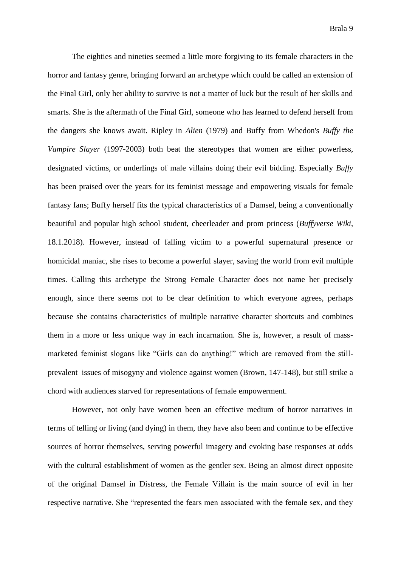The eighties and nineties seemed a little more forgiving to its female characters in the horror and fantasy genre, bringing forward an archetype which could be called an extension of the Final Girl, only her ability to survive is not a matter of luck but the result of her skills and smarts. She is the aftermath of the Final Girl, someone who has learned to defend herself from the dangers she knows await. Ripley in *Alien* (1979) and Buffy from Whedon's *Buffy the Vampire Slayer* (1997-2003) both beat the stereotypes that women are either powerless, designated victims, or underlings of male villains doing their evil bidding. Especially *Buffy* has been praised over the years for its feminist message and empowering visuals for female fantasy fans; Buffy herself fits the typical characteristics of a Damsel, being a conventionally beautiful and popular high school student, cheerleader and prom princess (*Buffyverse Wiki*, 18.1.2018). However, instead of falling victim to a powerful supernatural presence or homicidal maniac, she rises to become a powerful slayer, saving the world from evil multiple times. Calling this archetype the Strong Female Character does not name her precisely enough, since there seems not to be clear definition to which everyone agrees, perhaps because she contains characteristics of multiple narrative character shortcuts and combines them in a more or less unique way in each incarnation. She is, however, a result of massmarketed feminist slogans like "Girls can do anything!" which are removed from the stillprevalent issues of misogyny and violence against women (Brown, 147-148), but still strike a chord with audiences starved for representations of female empowerment.

However, not only have women been an effective medium of horror narratives in terms of telling or living (and dying) in them, they have also been and continue to be effective sources of horror themselves, serving powerful imagery and evoking base responses at odds with the cultural establishment of women as the gentler sex. Being an almost direct opposite of the original Damsel in Distress, the Female Villain is the main source of evil in her respective narrative. She "represented the fears men associated with the female sex, and they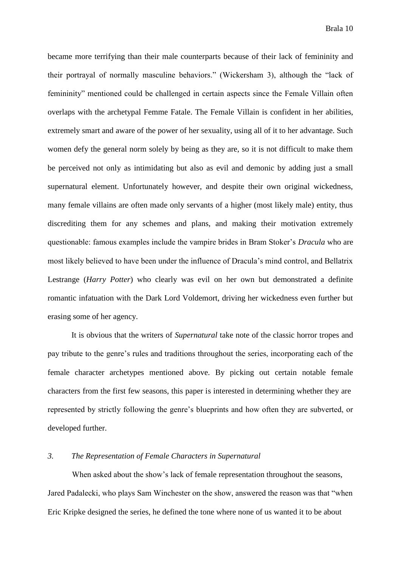became more terrifying than their male counterparts because of their lack of femininity and their portrayal of normally masculine behaviors." (Wickersham 3), although the "lack of femininity" mentioned could be challenged in certain aspects since the Female Villain often overlaps with the archetypal Femme Fatale. The Female Villain is confident in her abilities, extremely smart and aware of the power of her sexuality, using all of it to her advantage. Such women defy the general norm solely by being as they are, so it is not difficult to make them be perceived not only as intimidating but also as evil and demonic by adding just a small supernatural element. Unfortunately however, and despite their own original wickedness, many female villains are often made only servants of a higher (most likely male) entity, thus discrediting them for any schemes and plans, and making their motivation extremely questionable: famous examples include the vampire brides in Bram Stoker's *Dracula* who are most likely believed to have been under the influence of Dracula's mind control, and Bellatrix Lestrange (*Harry Potter*) who clearly was evil on her own but demonstrated a definite romantic infatuation with the Dark Lord Voldemort, driving her wickedness even further but erasing some of her agency.

It is obvious that the writers of *Supernatural* take note of the classic horror tropes and pay tribute to the genre's rules and traditions throughout the series, incorporating each of the female character archetypes mentioned above. By picking out certain notable female characters from the first few seasons, this paper is interested in determining whether they are represented by strictly following the genre's blueprints and how often they are subverted, or developed further.

## *3. The Representation of Female Characters in Supernatural*

When asked about the show's lack of female representation throughout the seasons, Jared Padalecki, who plays Sam Winchester on the show, answered the reason was that "when Eric Kripke designed the series, he defined the tone where none of us wanted it to be about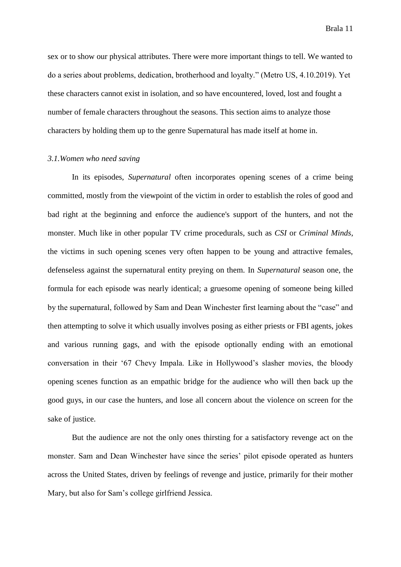sex or to show our physical attributes. There were more important things to tell. We wanted to do a series about problems, dedication, brotherhood and loyalty." (Metro US, 4.10.2019). Yet these characters cannot exist in isolation, and so have encountered, loved, lost and fought a number of female characters throughout the seasons. This section aims to analyze those characters by holding them up to the genre Supernatural has made itself at home in.

#### *3.1.Women who need saving*

In its episodes, *Supernatural* often incorporates opening scenes of a crime being committed, mostly from the viewpoint of the victim in order to establish the roles of good and bad right at the beginning and enforce the audience's support of the hunters, and not the monster. Much like in other popular TV crime procedurals, such as *CSI* or *Criminal Minds*, the victims in such opening scenes very often happen to be young and attractive females, defenseless against the supernatural entity preying on them. In *Supernatural* season one, the formula for each episode was nearly identical; a gruesome opening of someone being killed by the supernatural, followed by Sam and Dean Winchester first learning about the "case" and then attempting to solve it which usually involves posing as either priests or FBI agents, jokes and various running gags, and with the episode optionally ending with an emotional conversation in their '67 Chevy Impala. Like in Hollywood's slasher movies, the bloody opening scenes function as an empathic bridge for the audience who will then back up the good guys, in our case the hunters, and lose all concern about the violence on screen for the sake of justice.

But the audience are not the only ones thirsting for a satisfactory revenge act on the monster. Sam and Dean Winchester have since the series' pilot episode operated as hunters across the United States, driven by feelings of revenge and justice, primarily for their mother Mary, but also for Sam's college girlfriend Jessica.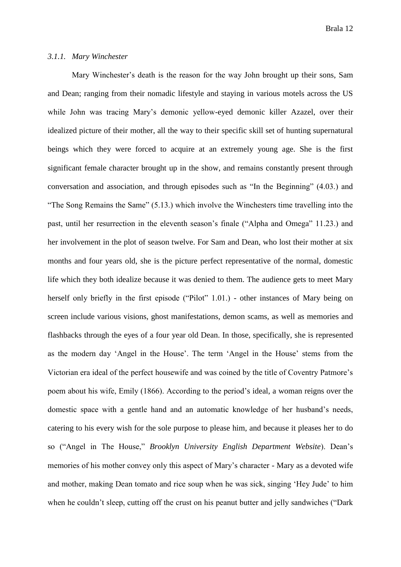## *3.1.1. Mary Winchester*

Mary Winchester's death is the reason for the way John brought up their sons, Sam and Dean; ranging from their nomadic lifestyle and staying in various motels across the US while John was tracing Mary's demonic yellow-eyed demonic killer Azazel, over their idealized picture of their mother, all the way to their specific skill set of hunting supernatural beings which they were forced to acquire at an extremely young age. She is the first significant female character brought up in the show, and remains constantly present through conversation and association, and through episodes such as "In the Beginning" (4.03.) and "The Song Remains the Same" (5.13.) which involve the Winchesters time travelling into the past, until her resurrection in the eleventh season's finale ("Alpha and Omega" 11.23.) and her involvement in the plot of season twelve. For Sam and Dean, who lost their mother at six months and four years old, she is the picture perfect representative of the normal, domestic life which they both idealize because it was denied to them. The audience gets to meet Mary herself only briefly in the first episode ("Pilot" 1.01.) - other instances of Mary being on screen include various visions, ghost manifestations, demon scams, as well as memories and flashbacks through the eyes of a four year old Dean. In those, specifically, she is represented as the modern day 'Angel in the House'. The term 'Angel in the House' stems from the Victorian era ideal of the perfect housewife and was coined by the title of Coventry Patmore's poem about his wife, Emily (1866). According to the period's ideal, a woman reigns over the domestic space with a gentle hand and an automatic knowledge of her husband's needs, catering to his every wish for the sole purpose to please him, and because it pleases her to do so ("Angel in The House," *Brooklyn University English Department Website*). Dean's memories of his mother convey only this aspect of Mary's character - Mary as a devoted wife and mother, making Dean tomato and rice soup when he was sick, singing 'Hey Jude' to him when he couldn't sleep, cutting off the crust on his peanut butter and jelly sandwiches ("Dark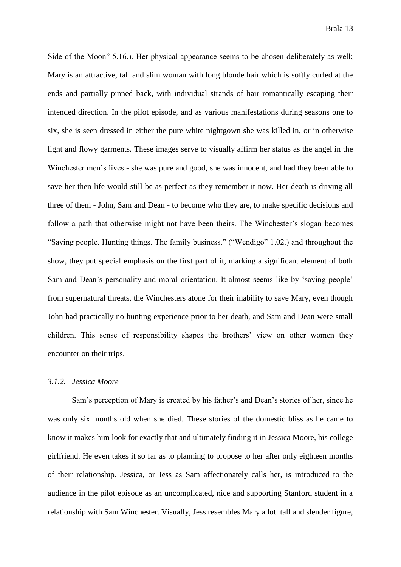Side of the Moon" 5.16.). Her physical appearance seems to be chosen deliberately as well; Mary is an attractive, tall and slim woman with long blonde hair which is softly curled at the ends and partially pinned back, with individual strands of hair romantically escaping their intended direction. In the pilot episode, and as various manifestations during seasons one to six, she is seen dressed in either the pure white nightgown she was killed in, or in otherwise light and flowy garments. These images serve to visually affirm her status as the angel in the Winchester men's lives - she was pure and good, she was innocent, and had they been able to save her then life would still be as perfect as they remember it now. Her death is driving all three of them - John, Sam and Dean - to become who they are, to make specific decisions and follow a path that otherwise might not have been theirs. The Winchester's slogan becomes "Saving people. Hunting things. The family business." ("Wendigo" 1.02.) and throughout the show, they put special emphasis on the first part of it, marking a significant element of both Sam and Dean's personality and moral orientation. It almost seems like by 'saving people' from supernatural threats, the Winchesters atone for their inability to save Mary, even though John had practically no hunting experience prior to her death, and Sam and Dean were small children. This sense of responsibility shapes the brothers' view on other women they encounter on their trips.

## *3.1.2. Jessica Moore*

Sam's perception of Mary is created by his father's and Dean's stories of her, since he was only six months old when she died. These stories of the domestic bliss as he came to know it makes him look for exactly that and ultimately finding it in Jessica Moore, his college girlfriend. He even takes it so far as to planning to propose to her after only eighteen months of their relationship. Jessica, or Jess as Sam affectionately calls her, is introduced to the audience in the pilot episode as an uncomplicated, nice and supporting Stanford student in a relationship with Sam Winchester. Visually, Jess resembles Mary a lot: tall and slender figure,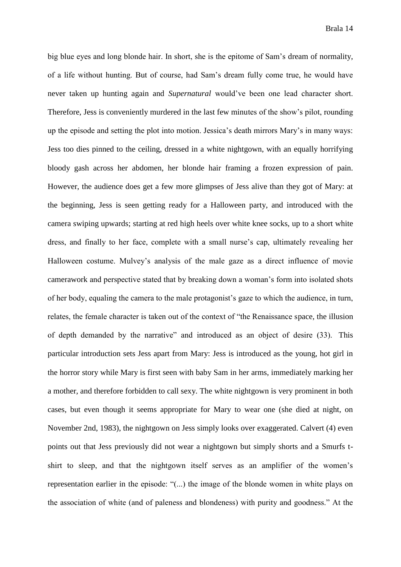big blue eyes and long blonde hair. In short, she is the epitome of Sam's dream of normality, of a life without hunting. But of course, had Sam's dream fully come true, he would have never taken up hunting again and *Supernatural* would've been one lead character short. Therefore, Jess is conveniently murdered in the last few minutes of the show's pilot, rounding up the episode and setting the plot into motion. Jessica's death mirrors Mary's in many ways: Jess too dies pinned to the ceiling, dressed in a white nightgown, with an equally horrifying bloody gash across her abdomen, her blonde hair framing a frozen expression of pain. However, the audience does get a few more glimpses of Jess alive than they got of Mary: at the beginning, Jess is seen getting ready for a Halloween party, and introduced with the camera swiping upwards; starting at red high heels over white knee socks, up to a short white dress, and finally to her face, complete with a small nurse's cap, ultimately revealing her Halloween costume. Mulvey's analysis of the male gaze as a direct influence of movie camerawork and perspective stated that by breaking down a woman's form into isolated shots of her body, equaling the camera to the male protagonist's gaze to which the audience, in turn, relates, the female character is taken out of the context of "the Renaissance space, the illusion of depth demanded by the narrative" and introduced as an object of desire (33). This particular introduction sets Jess apart from Mary: Jess is introduced as the young, hot girl in the horror story while Mary is first seen with baby Sam in her arms, immediately marking her a mother, and therefore forbidden to call sexy. The white nightgown is very prominent in both cases, but even though it seems appropriate for Mary to wear one (she died at night, on November 2nd, 1983), the nightgown on Jess simply looks over exaggerated. Calvert (4) even points out that Jess previously did not wear a nightgown but simply shorts and a Smurfs tshirt to sleep, and that the nightgown itself serves as an amplifier of the women's representation earlier in the episode: "(...) the image of the blonde women in white plays on the association of white (and of paleness and blondeness) with purity and goodness." At the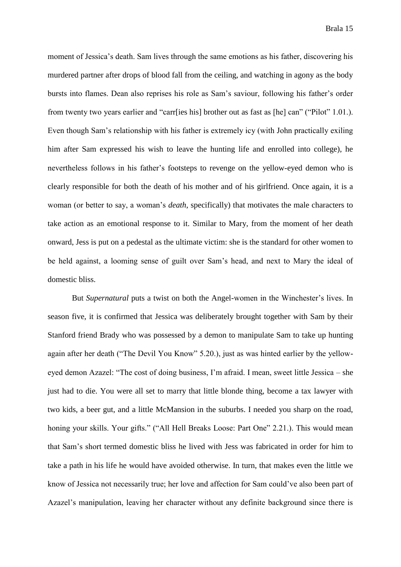moment of Jessica's death. Sam lives through the same emotions as his father, discovering his murdered partner after drops of blood fall from the ceiling, and watching in agony as the body bursts into flames. Dean also reprises his role as Sam's saviour, following his father's order from twenty two years earlier and "carr[ies his] brother out as fast as [he] can" ("Pilot" 1.01.). Even though Sam's relationship with his father is extremely icy (with John practically exiling him after Sam expressed his wish to leave the hunting life and enrolled into college), he nevertheless follows in his father's footsteps to revenge on the yellow-eyed demon who is clearly responsible for both the death of his mother and of his girlfriend. Once again, it is a woman (or better to say, a woman's *death*, specifically) that motivates the male characters to take action as an emotional response to it. Similar to Mary, from the moment of her death onward, Jess is put on a pedestal as the ultimate victim: she is the standard for other women to be held against, a looming sense of guilt over Sam's head, and next to Mary the ideal of domestic bliss.

But *Supernatural* puts a twist on both the Angel-women in the Winchester's lives. In season five, it is confirmed that Jessica was deliberately brought together with Sam by their Stanford friend Brady who was possessed by a demon to manipulate Sam to take up hunting again after her death ("The Devil You Know" 5.20.), just as was hinted earlier by the yelloweyed demon Azazel: "The cost of doing business, I'm afraid. I mean, sweet little Jessica – she just had to die. You were all set to marry that little blonde thing, become a tax lawyer with two kids, a beer gut, and a little McMansion in the suburbs. I needed you sharp on the road, honing your skills. Your gifts." ("All Hell Breaks Loose: Part One" 2.21.). This would mean that Sam's short termed domestic bliss he lived with Jess was fabricated in order for him to take a path in his life he would have avoided otherwise. In turn, that makes even the little we know of Jessica not necessarily true; her love and affection for Sam could've also been part of Azazel's manipulation, leaving her character without any definite background since there is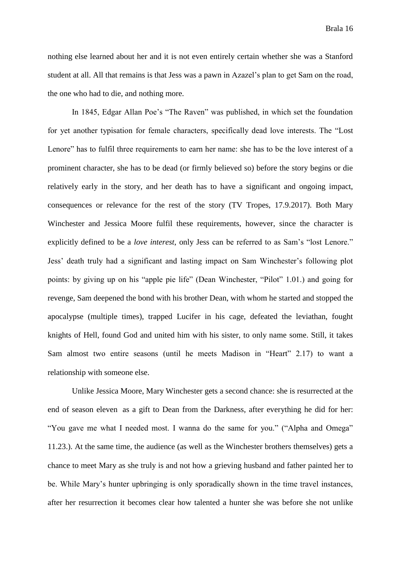nothing else learned about her and it is not even entirely certain whether she was a Stanford student at all. All that remains is that Jess was a pawn in Azazel's plan to get Sam on the road, the one who had to die, and nothing more.

In 1845, Edgar Allan Poe's "The Raven" was published, in which set the foundation for yet another typisation for female characters, specifically dead love interests. The "Lost Lenore" has to fulfil three requirements to earn her name: she has to be the love interest of a prominent character, she has to be dead (or firmly believed so) before the story begins or die relatively early in the story, and her death has to have a significant and ongoing impact, consequences or relevance for the rest of the story (TV Tropes, 17.9.2017). Both Mary Winchester and Jessica Moore fulfil these requirements, however, since the character is explicitly defined to be a *love interest*, only Jess can be referred to as Sam's "lost Lenore." Jess' death truly had a significant and lasting impact on Sam Winchester's following plot points: by giving up on his "apple pie life" (Dean Winchester, "Pilot" 1.01.) and going for revenge, Sam deepened the bond with his brother Dean, with whom he started and stopped the apocalypse (multiple times), trapped Lucifer in his cage, defeated the leviathan, fought knights of Hell, found God and united him with his sister, to only name some. Still, it takes Sam almost two entire seasons (until he meets Madison in "Heart" 2.17) to want a relationship with someone else.

Unlike Jessica Moore, Mary Winchester gets a second chance: she is resurrected at the end of season eleven as a gift to Dean from the Darkness, after everything he did for her: "You gave me what I needed most. I wanna do the same for you." ("Alpha and Omega" 11.23.). At the same time, the audience (as well as the Winchester brothers themselves) gets a chance to meet Mary as she truly is and not how a grieving husband and father painted her to be. While Mary's hunter upbringing is only sporadically shown in the time travel instances, after her resurrection it becomes clear how talented a hunter she was before she not unlike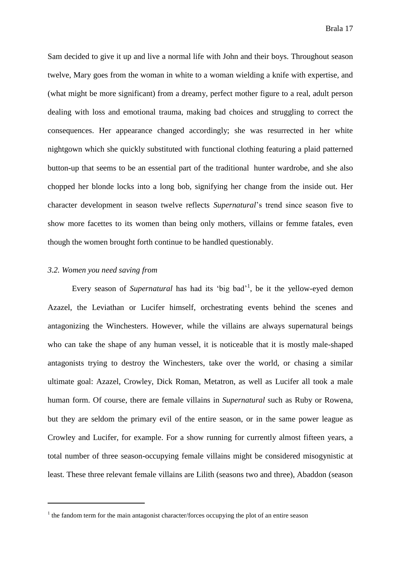Sam decided to give it up and live a normal life with John and their boys. Throughout season twelve, Mary goes from the woman in white to a woman wielding a knife with expertise, and (what might be more significant) from a dreamy, perfect mother figure to a real, adult person dealing with loss and emotional trauma, making bad choices and struggling to correct the consequences. Her appearance changed accordingly; she was resurrected in her white nightgown which she quickly substituted with functional clothing featuring a plaid patterned button-up that seems to be an essential part of the traditional hunter wardrobe, and she also chopped her blonde locks into a long bob, signifying her change from the inside out. Her character development in season twelve reflects *Supernatural*'s trend since season five to show more facettes to its women than being only mothers, villains or femme fatales, even though the women brought forth continue to be handled questionably.

#### *3.2. Women you need saving from*

1

Every season of *Supernatural* has had its 'big bad'<sup>1</sup> , be it the yellow-eyed demon Azazel, the Leviathan or Lucifer himself, orchestrating events behind the scenes and antagonizing the Winchesters. However, while the villains are always supernatural beings who can take the shape of any human vessel, it is noticeable that it is mostly male-shaped antagonists trying to destroy the Winchesters, take over the world, or chasing a similar ultimate goal: Azazel, Crowley, Dick Roman, Metatron, as well as Lucifer all took a male human form. Of course, there are female villains in *Supernatural* such as Ruby or Rowena, but they are seldom the primary evil of the entire season, or in the same power league as Crowley and Lucifer, for example. For a show running for currently almost fifteen years, a total number of three season-occupying female villains might be considered misogynistic at least. These three relevant female villains are Lilith (seasons two and three), Abaddon (season

 $1$  the fandom term for the main antagonist character/forces occupying the plot of an entire season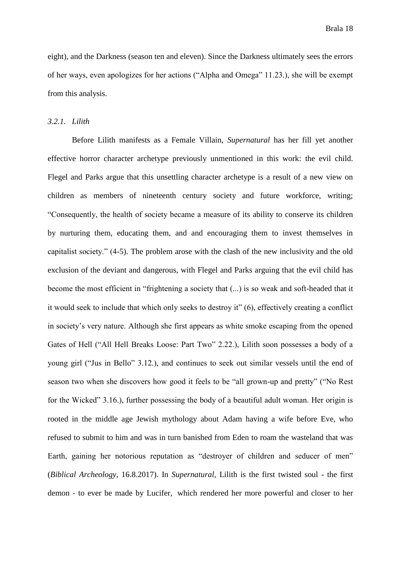eight), and the Darkness (season ten and eleven). Since the Darkness ultimately sees the errors of her ways, even apologizes for her actions ("Alpha and Omega" 11.23.), she will be exempt from this analysis.

### *3.2.1. Lilith*

Before Lilith manifests as a Female Villain, *Supernatural* has her fill yet another effective horror character archetype previously unmentioned in this work: the evil child. Flegel and Parks argue that this unsettling character archetype is a result of a new view on children as members of nineteenth century society and future workforce, writing; "Consequently, the health of society became a measure of its ability to conserve its children by nurturing them, educating them, and and encouraging them to invest themselves in capitalist society." (4-5). The problem arose with the clash of the new inclusivity and the old exclusion of the deviant and dangerous, with Flegel and Parks arguing that the evil child has become the most efficient in "frightening a society that (...) is so weak and soft-headed that it it would seek to include that which only seeks to destroy it" (6), effectively creating a conflict in society's very nature. Although she first appears as white smoke escaping from the opened Gates of Hell ("All Hell Breaks Loose: Part Two" 2.22.), Lilith soon possesses a body of a young girl ("Jus in Bello" 3.12.), and continues to seek out similar vessels until the end of season two when she discovers how good it feels to be "all grown-up and pretty" ("No Rest for the Wicked" 3.16.), further possessing the body of a beautiful adult woman. Her origin is rooted in the middle age Jewish mythology about Adam having a wife before Eve, who refused to submit to him and was in turn banished from Eden to roam the wasteland that was Earth, gaining her notorious reputation as "destroyer of children and seducer of men" (*Biblical Archeology,* 16.8.2017). In *Supernatural*, Lilith is the first twisted soul - the first demon - to ever be made by Lucifer, which rendered her more powerful and closer to her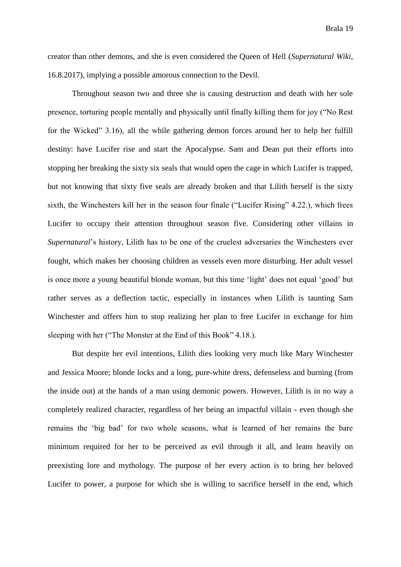creator than other demons, and she is even considered the Queen of Hell (*Supernatural Wiki*, 16.8.2017), implying a possible amorous connection to the Devil.

Throughout season two and three she is causing destruction and death with her sole presence, torturing people mentally and physically until finally killing them for joy ("No Rest for the Wicked" 3.16), all the while gathering demon forces around her to help her fulfill destiny: have Lucifer rise and start the Apocalypse. Sam and Dean put their efforts into stopping her breaking the sixty six seals that would open the cage in which Lucifer is trapped, but not knowing that sixty five seals are already broken and that Lilith herself is the sixty sixth, the Winchesters kill her in the season four finale ("Lucifer Rising" 4.22.), which frees Lucifer to occupy their attention throughout season five. Considering other villains in *Supernatural*'s history, Lilith has to be one of the cruelest adversaries the Winchesters ever fought, which makes her choosing children as vessels even more disturbing. Her adult vessel is once more a young beautiful blonde woman, but this time 'light' does not equal 'good' but rather serves as a deflection tactic, especially in instances when Lilith is taunting Sam Winchester and offers him to stop realizing her plan to free Lucifer in exchange for him sleeping with her ("The Monster at the End of this Book" 4.18.).

But despite her evil intentions, Lilith dies looking very much like Mary Winchester and Jessica Moore; blonde locks and a long, pure-white dress, defenseless and burning (from the inside out) at the hands of a man using demonic powers. However, Lilith is in no way a completely realized character, regardless of her being an impactful villain - even though she remains the 'big bad' for two whole seasons, what is learned of her remains the bare minimum required for her to be perceived as evil through it all, and leans heavily on preexisting lore and mythology. The purpose of her every action is to bring her beloved Lucifer to power, a purpose for which she is willing to sacrifice herself in the end, which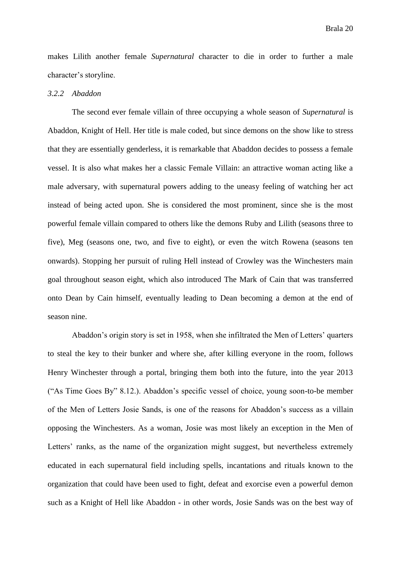makes Lilith another female *Supernatural* character to die in order to further a male character's storyline.

## *3.2.2 Abaddon*

The second ever female villain of three occupying a whole season of *Supernatural* is Abaddon, Knight of Hell. Her title is male coded, but since demons on the show like to stress that they are essentially genderless, it is remarkable that Abaddon decides to possess a female vessel. It is also what makes her a classic Female Villain: an attractive woman acting like a male adversary, with supernatural powers adding to the uneasy feeling of watching her act instead of being acted upon. She is considered the most prominent, since she is the most powerful female villain compared to others like the demons Ruby and Lilith (seasons three to five), Meg (seasons one, two, and five to eight), or even the witch Rowena (seasons ten onwards). Stopping her pursuit of ruling Hell instead of Crowley was the Winchesters main goal throughout season eight, which also introduced The Mark of Cain that was transferred onto Dean by Cain himself, eventually leading to Dean becoming a demon at the end of season nine.

Abaddon's origin story is set in 1958, when she infiltrated the Men of Letters' quarters to steal the key to their bunker and where she, after killing everyone in the room, follows Henry Winchester through a portal, bringing them both into the future, into the year 2013 ("As Time Goes By" 8.12.). Abaddon's specific vessel of choice, young soon-to-be member of the Men of Letters Josie Sands, is one of the reasons for Abaddon's success as a villain opposing the Winchesters. As a woman, Josie was most likely an exception in the Men of Letters' ranks, as the name of the organization might suggest, but nevertheless extremely educated in each supernatural field including spells, incantations and rituals known to the organization that could have been used to fight, defeat and exorcise even a powerful demon such as a Knight of Hell like Abaddon - in other words, Josie Sands was on the best way of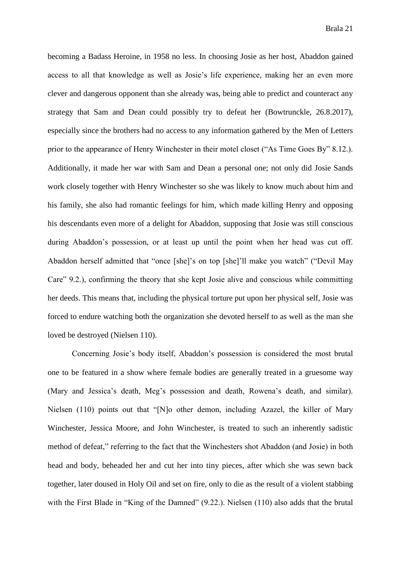becoming a Badass Heroine, in 1958 no less. In choosing Josie as her host, Abaddon gained access to all that knowledge as well as Josie's life experience, making her an even more clever and dangerous opponent than she already was, being able to predict and counteract any strategy that Sam and Dean could possibly try to defeat her (Bowtrunckle, 26.8.2017), especially since the brothers had no access to any information gathered by the Men of Letters prior to the appearance of Henry Winchester in their motel closet ("As Time Goes By" 8.12.). Additionally, it made her war with Sam and Dean a personal one; not only did Josie Sands work closely together with Henry Winchester so she was likely to know much about him and his family, she also had romantic feelings for him, which made killing Henry and opposing his descendants even more of a delight for Abaddon, supposing that Josie was still conscious during Abaddon's possession, or at least up until the point when her head was cut off. Abaddon herself admitted that "once [she]'s on top [she]'ll make you watch" ("Devil May Care" 9.2.), confirming the theory that she kept Josie alive and conscious while committing her deeds. This means that, including the physical torture put upon her physical self, Josie was forced to endure watching both the organization she devoted herself to as well as the man she loved be destroyed (Nielsen 110).

Concerning Josie's body itself, Abaddon's possession is considered the most brutal one to be featured in a show where female bodies are generally treated in a gruesome way (Mary and Jessica's death, Meg's possession and death, Rowena's death, and similar). Nielsen (110) points out that "[N]o other demon, including Azazel, the killer of Mary Winchester, Jessica Moore, and John Winchester, is treated to such an inherently sadistic method of defeat," referring to the fact that the Winchesters shot Abaddon (and Josie) in both head and body, beheaded her and cut her into tiny pieces, after which she was sewn back together, later doused in Holy Oil and set on fire, only to die as the result of a violent stabbing with the First Blade in "King of the Damned" (9.22.). Nielsen (110) also adds that the brutal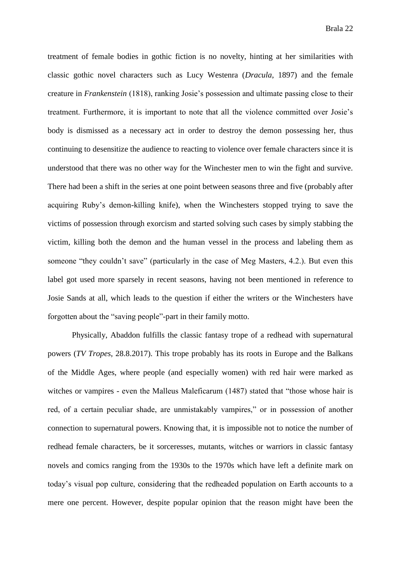treatment of female bodies in gothic fiction is no novelty, hinting at her similarities with classic gothic novel characters such as Lucy Westenra (*Dracula*, 1897) and the female creature in *Frankenstein* (1818), ranking Josie's possession and ultimate passing close to their treatment. Furthermore, it is important to note that all the violence committed over Josie's body is dismissed as a necessary act in order to destroy the demon possessing her, thus continuing to desensitize the audience to reacting to violence over female characters since it is understood that there was no other way for the Winchester men to win the fight and survive. There had been a shift in the series at one point between seasons three and five (probably after acquiring Ruby's demon-killing knife), when the Winchesters stopped trying to save the victims of possession through exorcism and started solving such cases by simply stabbing the victim, killing both the demon and the human vessel in the process and labeling them as someone "they couldn't save" (particularly in the case of Meg Masters, 4.2.). But even this label got used more sparsely in recent seasons, having not been mentioned in reference to Josie Sands at all, which leads to the question if either the writers or the Winchesters have forgotten about the "saving people"-part in their family motto.

Physically, Abaddon fulfills the classic fantasy trope of a redhead with supernatural powers (*TV Tropes*, 28.8.2017). This trope probably has its roots in Europe and the Balkans of the Middle Ages, where people (and especially women) with red hair were marked as witches or vampires - even the Malleus Maleficarum (1487) stated that "those whose hair is red, of a certain peculiar shade, are unmistakably vampires," or in possession of another connection to supernatural powers. Knowing that, it is impossible not to notice the number of redhead female characters, be it sorceresses, mutants, witches or warriors in classic fantasy novels and comics ranging from the 1930s to the 1970s which have left a definite mark on today's visual pop culture, considering that the redheaded population on Earth accounts to a mere one percent. However, despite popular opinion that the reason might have been the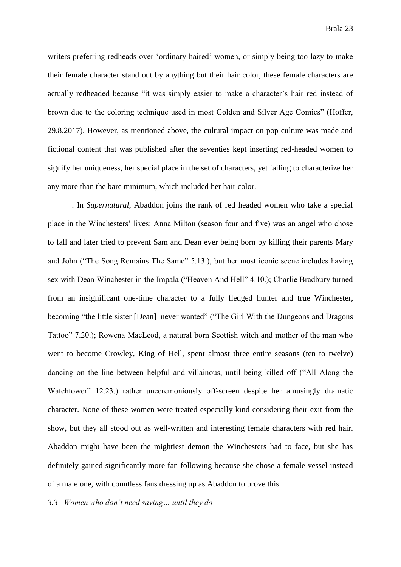writers preferring redheads over 'ordinary-haired' women, or simply being too lazy to make their female character stand out by anything but their hair color, these female characters are actually redheaded because "it was simply easier to make a character's hair red instead of brown due to the coloring technique used in most Golden and Silver Age Comics" (Hoffer, 29.8.2017). However, as mentioned above, the cultural impact on pop culture was made and fictional content that was published after the seventies kept inserting red-headed women to signify her uniqueness, her special place in the set of characters, yet failing to characterize her any more than the bare minimum, which included her hair color.

. In *Supernatural*, Abaddon joins the rank of red headed women who take a special place in the Winchesters' lives: Anna Milton (season four and five) was an angel who chose to fall and later tried to prevent Sam and Dean ever being born by killing their parents Mary and John ("The Song Remains The Same" 5.13.), but her most iconic scene includes having sex with Dean Winchester in the Impala ("Heaven And Hell" 4.10.); Charlie Bradbury turned from an insignificant one-time character to a fully fledged hunter and true Winchester, becoming "the little sister [Dean] never wanted" ("The Girl With the Dungeons and Dragons Tattoo" 7.20.); Rowena MacLeod, a natural born Scottish witch and mother of the man who went to become Crowley, King of Hell, spent almost three entire seasons (ten to twelve) dancing on the line between helpful and villainous, until being killed off ("All Along the Watchtower" 12.23.) rather unceremoniously off-screen despite her amusingly dramatic character. None of these women were treated especially kind considering their exit from the show, but they all stood out as well-written and interesting female characters with red hair. Abaddon might have been the mightiest demon the Winchesters had to face, but she has definitely gained significantly more fan following because she chose a female vessel instead of a male one, with countless fans dressing up as Abaddon to prove this.

*3.3 Women who don't need saving… until they do*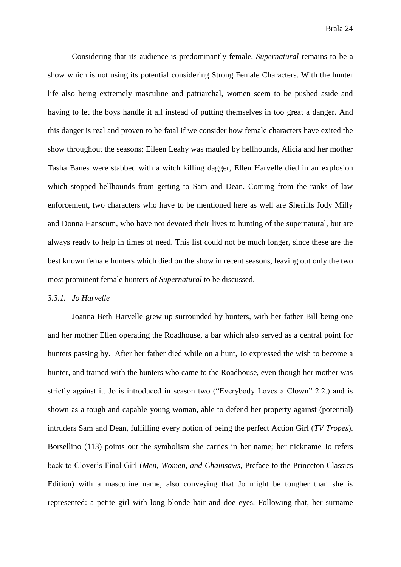Considering that its audience is predominantly female, *Supernatural* remains to be a show which is not using its potential considering Strong Female Characters. With the hunter life also being extremely masculine and patriarchal, women seem to be pushed aside and having to let the boys handle it all instead of putting themselves in too great a danger. And this danger is real and proven to be fatal if we consider how female characters have exited the show throughout the seasons; Eileen Leahy was mauled by hellhounds, Alicia and her mother Tasha Banes were stabbed with a witch killing dagger, Ellen Harvelle died in an explosion which stopped hellhounds from getting to Sam and Dean. Coming from the ranks of law enforcement, two characters who have to be mentioned here as well are Sheriffs Jody Milly and Donna Hanscum, who have not devoted their lives to hunting of the supernatural, but are always ready to help in times of need. This list could not be much longer, since these are the best known female hunters which died on the show in recent seasons, leaving out only the two most prominent female hunters of *Supernatural* to be discussed.

## *3.3.1. Jo Harvelle*

Joanna Beth Harvelle grew up surrounded by hunters, with her father Bill being one and her mother Ellen operating the Roadhouse, a bar which also served as a central point for hunters passing by. After her father died while on a hunt, Jo expressed the wish to become a hunter, and trained with the hunters who came to the Roadhouse, even though her mother was strictly against it. Jo is introduced in season two ("Everybody Loves a Clown" 2.2.) and is shown as a tough and capable young woman, able to defend her property against (potential) intruders Sam and Dean, fulfilling every notion of being the perfect Action Girl (*TV Tropes*). Borsellino (113) points out the symbolism she carries in her name; her nickname Jo refers back to Clover's Final Girl (*Men, Women, and Chainsaws*, Preface to the Princeton Classics Edition) with a masculine name, also conveying that Jo might be tougher than she is represented: a petite girl with long blonde hair and doe eyes. Following that, her surname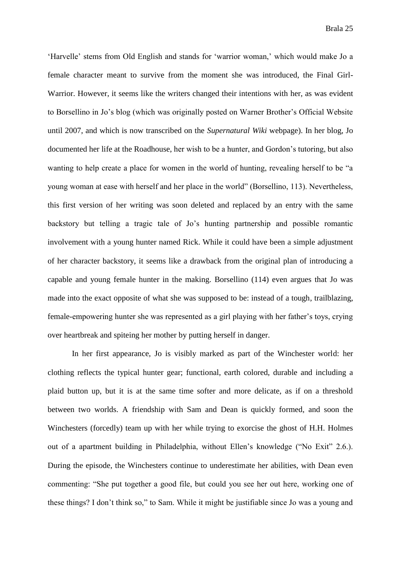'Harvelle' stems from Old English and stands for 'warrior woman,' which would make Jo a female character meant to survive from the moment she was introduced, the Final Girl-Warrior. However, it seems like the writers changed their intentions with her, as was evident to Borsellino in Jo's blog (which was originally posted on Warner Brother's Official Website until 2007, and which is now transcribed on the *Supernatural Wiki* webpage). In her blog, Jo documented her life at the Roadhouse, her wish to be a hunter, and Gordon's tutoring, but also wanting to help create a place for women in the world of hunting, revealing herself to be "a young woman at ease with herself and her place in the world" (Borsellino, 113). Nevertheless, this first version of her writing was soon deleted and replaced by an entry with the same backstory but telling a tragic tale of Jo's hunting partnership and possible romantic involvement with a young hunter named Rick. While it could have been a simple adjustment of her character backstory, it seems like a drawback from the original plan of introducing a capable and young female hunter in the making. Borsellino (114) even argues that Jo was made into the exact opposite of what she was supposed to be: instead of a tough, trailblazing, female-empowering hunter she was represented as a girl playing with her father's toys, crying over heartbreak and spiteing her mother by putting herself in danger.

In her first appearance, Jo is visibly marked as part of the Winchester world: her clothing reflects the typical hunter gear; functional, earth colored, durable and including a plaid button up, but it is at the same time softer and more delicate, as if on a threshold between two worlds. A friendship with Sam and Dean is quickly formed, and soon the Winchesters (forcedly) team up with her while trying to exorcise the ghost of H.H. Holmes out of a apartment building in Philadelphia, without Ellen's knowledge ("No Exit" 2.6.). During the episode, the Winchesters continue to underestimate her abilities, with Dean even commenting: "She put together a good file, but could you see her out here, working one of these things? I don't think so," to Sam. While it might be justifiable since Jo was a young and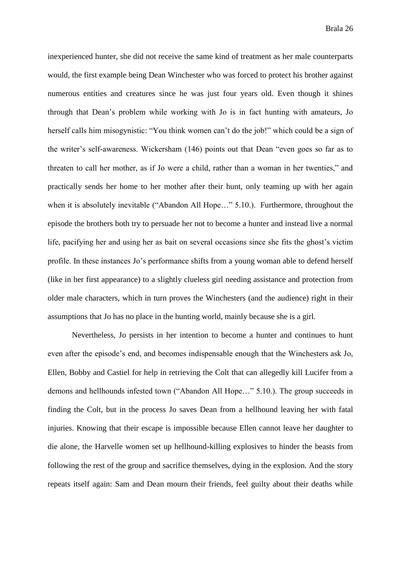inexperienced hunter, she did not receive the same kind of treatment as her male counterparts would, the first example being Dean Winchester who was forced to protect his brother against numerous entities and creatures since he was just four years old. Even though it shines through that Dean's problem while working with Jo is in fact hunting with amateurs, Jo herself calls him misogynistic: "You think women can't do the job!" which could be a sign of the writer's self-awareness. Wickersham (146) points out that Dean "even goes so far as to threaten to call her mother, as if Jo were a child, rather than a woman in her twenties," and practically sends her home to her mother after their hunt, only teaming up with her again when it is absolutely inevitable ("Abandon All Hope..." 5.10.). Furthermore, throughout the episode the brothers both try to persuade her not to become a hunter and instead live a normal life, pacifying her and using her as bait on several occasions since she fits the ghost's victim profile. In these instances Jo's performance shifts from a young woman able to defend herself (like in her first appearance) to a slightly clueless girl needing assistance and protection from older male characters, which in turn proves the Winchesters (and the audience) right in their assumptions that Jo has no place in the hunting world, mainly because she is a girl.

Nevertheless, Jo persists in her intention to become a hunter and continues to hunt even after the episode's end, and becomes indispensable enough that the Winchesters ask Jo, Ellen, Bobby and Castiel for help in retrieving the Colt that can allegedly kill Lucifer from a demons and hellhounds infested town ("Abandon All Hope…" 5.10.). The group succeeds in finding the Colt, but in the process Jo saves Dean from a hellhound leaving her with fatal injuries. Knowing that their escape is impossible because Ellen cannot leave her daughter to die alone, the Harvelle women set up hellhound-killing explosives to hinder the beasts from following the rest of the group and sacrifice themselves, dying in the explosion. And the story repeats itself again: Sam and Dean mourn their friends, feel guilty about their deaths while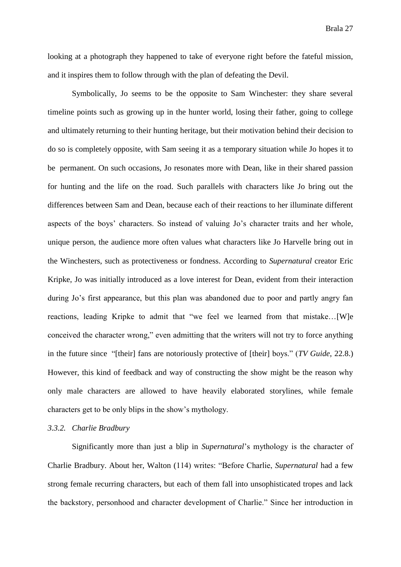looking at a photograph they happened to take of everyone right before the fateful mission, and it inspires them to follow through with the plan of defeating the Devil.

Symbolically, Jo seems to be the opposite to Sam Winchester: they share several timeline points such as growing up in the hunter world, losing their father, going to college and ultimately returning to their hunting heritage, but their motivation behind their decision to do so is completely opposite, with Sam seeing it as a temporary situation while Jo hopes it to be permanent. On such occasions, Jo resonates more with Dean, like in their shared passion for hunting and the life on the road. Such parallels with characters like Jo bring out the differences between Sam and Dean, because each of their reactions to her illuminate different aspects of the boys' characters. So instead of valuing Jo's character traits and her whole, unique person, the audience more often values what characters like Jo Harvelle bring out in the Winchesters, such as protectiveness or fondness. According to *Supernatural* creator Eric Kripke, Jo was initially introduced as a love interest for Dean, evident from their interaction during Jo's first appearance, but this plan was abandoned due to poor and partly angry fan reactions, leading Kripke to admit that "we feel we learned from that mistake…[W]e conceived the character wrong," even admitting that the writers will not try to force anything in the future since "[their] fans are notoriously protective of [their] boys." (*TV Guide*, 22.8.) However, this kind of feedback and way of constructing the show might be the reason why only male characters are allowed to have heavily elaborated storylines, while female characters get to be only blips in the show's mythology.

### *3.3.2. Charlie Bradbury*

Significantly more than just a blip in *Supernatural*'s mythology is the character of Charlie Bradbury. About her, Walton (114) writes: "Before Charlie, *Supernatural* had a few strong female recurring characters, but each of them fall into unsophisticated tropes and lack the backstory, personhood and character development of Charlie." Since her introduction in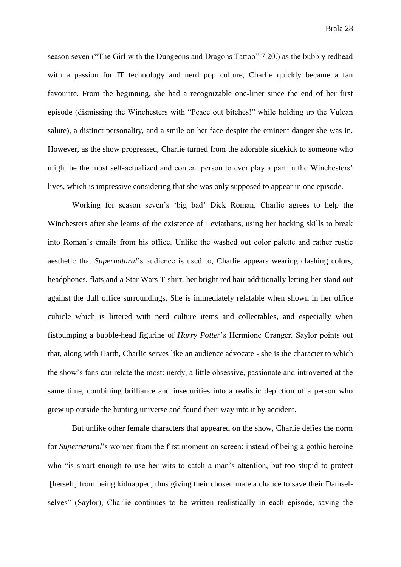season seven ("The Girl with the Dungeons and Dragons Tattoo" 7.20.) as the bubbly redhead with a passion for IT technology and nerd pop culture, Charlie quickly became a fan favourite. From the beginning, she had a recognizable one-liner since the end of her first episode (dismissing the Winchesters with "Peace out bitches!" while holding up the Vulcan salute), a distinct personality, and a smile on her face despite the eminent danger she was in. However, as the show progressed, Charlie turned from the adorable sidekick to someone who might be the most self-actualized and content person to ever play a part in the Winchesters' lives, which is impressive considering that she was only supposed to appear in one episode.

Working for season seven's 'big bad' Dick Roman, Charlie agrees to help the Winchesters after she learns of the existence of Leviathans, using her hacking skills to break into Roman's emails from his office. Unlike the washed out color palette and rather rustic aesthetic that *Supernatural*'s audience is used to, Charlie appears wearing clashing colors, headphones, flats and a Star Wars T-shirt, her bright red hair additionally letting her stand out against the dull office surroundings. She is immediately relatable when shown in her office cubicle which is littered with nerd culture items and collectables, and especially when fistbumping a bubble-head figurine of *Harry Potter*'s Hermione Granger. Saylor points out that, along with Garth, Charlie serves like an audience advocate - she is the character to which the show's fans can relate the most: nerdy, a little obsessive, passionate and introverted at the same time, combining brilliance and insecurities into a realistic depiction of a person who grew up outside the hunting universe and found their way into it by accident.

But unlike other female characters that appeared on the show, Charlie defies the norm for *Supernatural*'s women from the first moment on screen: instead of being a gothic heroine who "is smart enough to use her wits to catch a man's attention, but too stupid to protect [herself] from being kidnapped, thus giving their chosen male a chance to save their Damselselves" (Saylor), Charlie continues to be written realistically in each episode, saving the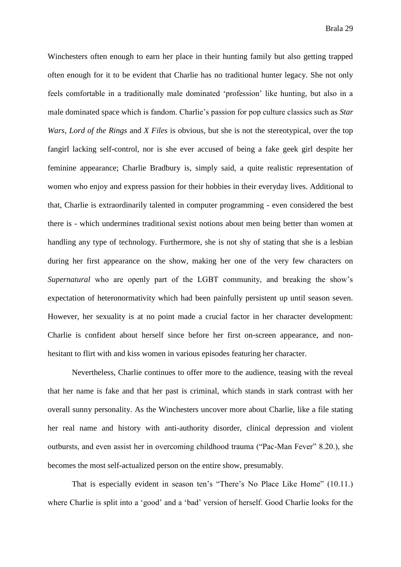Winchesters often enough to earn her place in their hunting family but also getting trapped often enough for it to be evident that Charlie has no traditional hunter legacy. She not only feels comfortable in a traditionally male dominated 'profession' like hunting, but also in a male dominated space which is fandom. Charlie's passion for pop culture classics such as *Star Wars, Lord of the Rings* and *X Files* is obvious, but she is not the stereotypical, over the top fangirl lacking self-control, nor is she ever accused of being a fake geek girl despite her feminine appearance; Charlie Bradbury is, simply said, a quite realistic representation of women who enjoy and express passion for their hobbies in their everyday lives. Additional to that, Charlie is extraordinarily talented in computer programming - even considered the best there is - which undermines traditional sexist notions about men being better than women at handling any type of technology. Furthermore, she is not shy of stating that she is a lesbian during her first appearance on the show, making her one of the very few characters on *Supernatural* who are openly part of the LGBT community, and breaking the show's expectation of heteronormativity which had been painfully persistent up until season seven. However, her sexuality is at no point made a crucial factor in her character development: Charlie is confident about herself since before her first on-screen appearance, and nonhesitant to flirt with and kiss women in various episodes featuring her character.

Nevertheless, Charlie continues to offer more to the audience, teasing with the reveal that her name is fake and that her past is criminal, which stands in stark contrast with her overall sunny personality. As the Winchesters uncover more about Charlie, like a file stating her real name and history with anti-authority disorder, clinical depression and violent outbursts, and even assist her in overcoming childhood trauma ("Pac-Man Fever" 8.20.), she becomes the most self-actualized person on the entire show, presumably.

That is especially evident in season ten's "There's No Place Like Home" (10.11.) where Charlie is split into a 'good' and a 'bad' version of herself. Good Charlie looks for the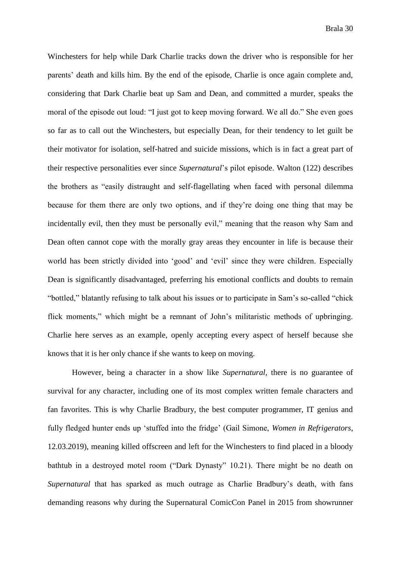Winchesters for help while Dark Charlie tracks down the driver who is responsible for her parents' death and kills him. By the end of the episode, Charlie is once again complete and, considering that Dark Charlie beat up Sam and Dean, and committed a murder, speaks the moral of the episode out loud: "I just got to keep moving forward. We all do." She even goes so far as to call out the Winchesters, but especially Dean, for their tendency to let guilt be their motivator for isolation, self-hatred and suicide missions, which is in fact a great part of their respective personalities ever since *Supernatural*'s pilot episode. Walton (122) describes the brothers as "easily distraught and self-flagellating when faced with personal dilemma because for them there are only two options, and if they're doing one thing that may be incidentally evil, then they must be personally evil," meaning that the reason why Sam and Dean often cannot cope with the morally gray areas they encounter in life is because their world has been strictly divided into 'good' and 'evil' since they were children. Especially Dean is significantly disadvantaged, preferring his emotional conflicts and doubts to remain "bottled," blatantly refusing to talk about his issues or to participate in Sam's so-called "chick flick moments," which might be a remnant of John's militaristic methods of upbringing. Charlie here serves as an example, openly accepting every aspect of herself because she knows that it is her only chance if she wants to keep on moving.

However, being a character in a show like *Supernatural*, there is no guarantee of survival for any character, including one of its most complex written female characters and fan favorites. This is why Charlie Bradbury, the best computer programmer, IT genius and fully fledged hunter ends up 'stuffed into the fridge' (Gail Simone, *Women in Refrigerators*, 12.03.2019), meaning killed offscreen and left for the Winchesters to find placed in a bloody bathtub in a destroyed motel room ("Dark Dynasty" 10.21). There might be no death on *Supernatural* that has sparked as much outrage as Charlie Bradbury's death, with fans demanding reasons why during the Supernatural ComicCon Panel in 2015 from showrunner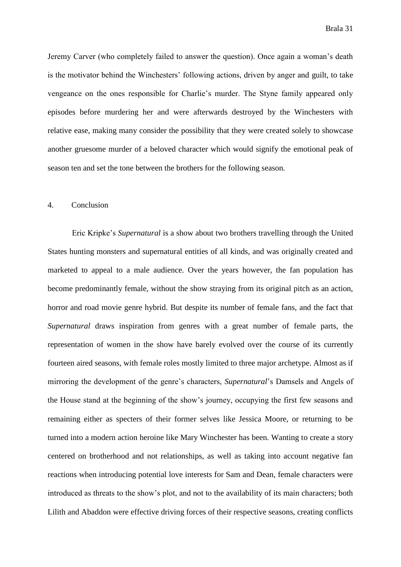Jeremy Carver (who completely failed to answer the question). Once again a woman's death is the motivator behind the Winchesters' following actions, driven by anger and guilt, to take vengeance on the ones responsible for Charlie's murder. The Styne family appeared only episodes before murdering her and were afterwards destroyed by the Winchesters with relative ease, making many consider the possibility that they were created solely to showcase another gruesome murder of a beloved character which would signify the emotional peak of season ten and set the tone between the brothers for the following season.

#### 4. Conclusion

Eric Kripke's *Supernatural* is a show about two brothers travelling through the United States hunting monsters and supernatural entities of all kinds, and was originally created and marketed to appeal to a male audience. Over the years however, the fan population has become predominantly female, without the show straying from its original pitch as an action, horror and road movie genre hybrid. But despite its number of female fans, and the fact that *Supernatural* draws inspiration from genres with a great number of female parts, the representation of women in the show have barely evolved over the course of its currently fourteen aired seasons, with female roles mostly limited to three major archetype. Almost as if mirroring the development of the genre's characters, *Supernatural*'s Damsels and Angels of the House stand at the beginning of the show's journey, occupying the first few seasons and remaining either as specters of their former selves like Jessica Moore, or returning to be turned into a modern action heroine like Mary Winchester has been. Wanting to create a story centered on brotherhood and not relationships, as well as taking into account negative fan reactions when introducing potential love interests for Sam and Dean, female characters were introduced as threats to the show's plot, and not to the availability of its main characters; both Lilith and Abaddon were effective driving forces of their respective seasons, creating conflicts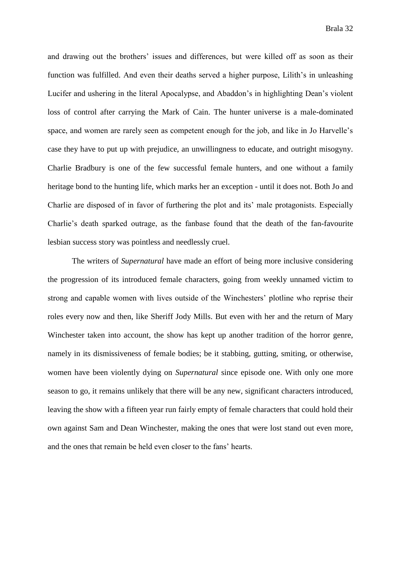and drawing out the brothers' issues and differences, but were killed off as soon as their function was fulfilled. And even their deaths served a higher purpose, Lilith's in unleashing Lucifer and ushering in the literal Apocalypse, and Abaddon's in highlighting Dean's violent loss of control after carrying the Mark of Cain. The hunter universe is a male-dominated space, and women are rarely seen as competent enough for the job, and like in Jo Harvelle's case they have to put up with prejudice, an unwillingness to educate, and outright misogyny. Charlie Bradbury is one of the few successful female hunters, and one without a family heritage bond to the hunting life, which marks her an exception - until it does not. Both Jo and Charlie are disposed of in favor of furthering the plot and its' male protagonists. Especially Charlie's death sparked outrage, as the fanbase found that the death of the fan-favourite lesbian success story was pointless and needlessly cruel.

The writers of *Supernatural* have made an effort of being more inclusive considering the progression of its introduced female characters, going from weekly unnamed victim to strong and capable women with lives outside of the Winchesters' plotline who reprise their roles every now and then, like Sheriff Jody Mills. But even with her and the return of Mary Winchester taken into account, the show has kept up another tradition of the horror genre, namely in its dismissiveness of female bodies; be it stabbing, gutting, smiting, or otherwise, women have been violently dying on *Supernatural* since episode one. With only one more season to go, it remains unlikely that there will be any new, significant characters introduced, leaving the show with a fifteen year run fairly empty of female characters that could hold their own against Sam and Dean Winchester, making the ones that were lost stand out even more, and the ones that remain be held even closer to the fans' hearts.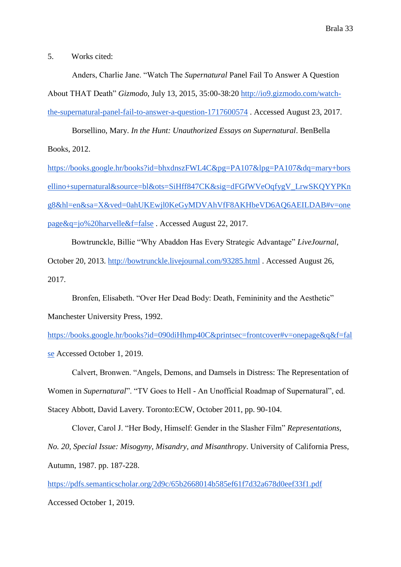5. Works cited:

Anders, Charlie Jane. "Watch The *Supernatural* Panel Fail To Answer A Question About THAT Death" *Gizmodo*, July 13, 2015, 35:00-38:20 [http://io9.gizmodo.com/watch](http://io9.gizmodo.com/watch-the-supernatural-panel-fail-to-answer-a-question-1717600574)[the-supernatural-panel-fail-to-answer-a-question-1717600574](http://io9.gizmodo.com/watch-the-supernatural-panel-fail-to-answer-a-question-1717600574) . Accessed August 23, 2017.

Borsellino, Mary. *In the Hunt: Unauthorized Essays on Supernatural*. BenBella Books, 2012.

[https://books.google.hr/books?id=bhxdnszFWL4C&pg=PA107&lpg=PA107&dq=mary+bors](https://books.google.hr/books?id=bhxdnszFWL4C&pg=PA107&lpg=PA107&dq=mary+borsellino+supernatural&source=bl&ots=SiHff847CK&sig=dFGfWVeOqfygV_LrwSKQYYPKng8&hl=en&sa=X&ved=0ahUKEwjl0KeGyMDVAhVfF8AKHbeVD6AQ6AEILDAB#v=onepage&q=jo%20harvelle&f=false) [ellino+supernatural&source=bl&ots=SiHff847CK&sig=dFGfWVeOqfygV\\_LrwSKQYYPKn](https://books.google.hr/books?id=bhxdnszFWL4C&pg=PA107&lpg=PA107&dq=mary+borsellino+supernatural&source=bl&ots=SiHff847CK&sig=dFGfWVeOqfygV_LrwSKQYYPKng8&hl=en&sa=X&ved=0ahUKEwjl0KeGyMDVAhVfF8AKHbeVD6AQ6AEILDAB#v=onepage&q=jo%20harvelle&f=false) [g8&hl=en&sa=X&ved=0ahUKEwjl0KeGyMDVAhVfF8AKHbeVD6AQ6AEILDAB#v=one](https://books.google.hr/books?id=bhxdnszFWL4C&pg=PA107&lpg=PA107&dq=mary+borsellino+supernatural&source=bl&ots=SiHff847CK&sig=dFGfWVeOqfygV_LrwSKQYYPKng8&hl=en&sa=X&ved=0ahUKEwjl0KeGyMDVAhVfF8AKHbeVD6AQ6AEILDAB#v=onepage&q=jo%20harvelle&f=false) [page&q=jo%20harvelle&f=false](https://books.google.hr/books?id=bhxdnszFWL4C&pg=PA107&lpg=PA107&dq=mary+borsellino+supernatural&source=bl&ots=SiHff847CK&sig=dFGfWVeOqfygV_LrwSKQYYPKng8&hl=en&sa=X&ved=0ahUKEwjl0KeGyMDVAhVfF8AKHbeVD6AQ6AEILDAB#v=onepage&q=jo%20harvelle&f=false) . Accessed August 22, 2017.

Bowtrunckle, Billie "Why Abaddon Has Every Strategic Advantage" *LiveJournal*, October 20, 2013.<http://bowtrunckle.livejournal.com/93285.html> . Accessed August 26, 2017.

Bronfen, Elisabeth. "Over Her Dead Body: Death, Femininity and the Aesthetic" Manchester University Press, 1992.

[https://books.google.hr/books?id=090diHhmp40C&printsec=frontcover#v=onepage&q&f=fal](https://books.google.hr/books?id=090diHhmp40C&printsec=frontcover#v=onepage&q&f=false) [se](https://books.google.hr/books?id=090diHhmp40C&printsec=frontcover#v=onepage&q&f=false) Accessed October 1, 2019.

Calvert, Bronwen. "Angels, Demons, and Damsels in Distress: The Representation of Women in *Supernatural*". "TV Goes to Hell - An Unofficial Roadmap of Supernatural", ed.

Stacey Abbott, David Lavery. Toronto:ECW, October 2011, pp. 90-104.

Clover, Carol J. "Her Body, Himself: Gender in the Slasher Film" *Representations, No. 20, Special Issue: Misogyny, Misandry, and Misanthropy*. University of California Press, Autumn, 1987. pp. 187-228.

<https://pdfs.semanticscholar.org/2d9c/65b2668014b585ef61f7d32a678d0eef33f1.pdf>

Accessed October 1, 2019.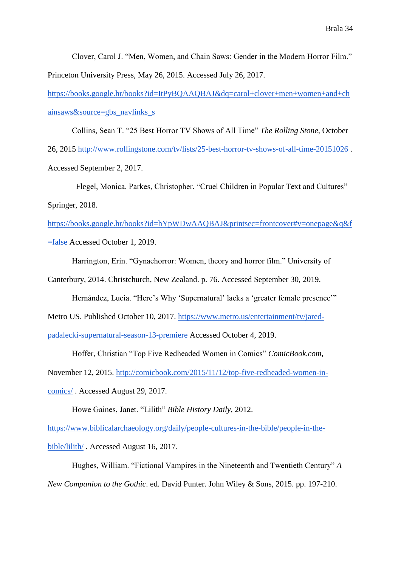Clover, Carol J. "Men, Women, and Chain Saws: Gender in the Modern Horror Film." Princeton University Press, May 26, 2015. Accessed July 26, 2017.

[https://books.google.hr/books?id=ItPyBQAAQBAJ&dq=carol+clover+men+women+and+ch](https://books.google.hr/books?id=ItPyBQAAQBAJ&dq=carol+clover+men+women+and+chainsaws&source=gbs_navlinks_s) [ainsaws&source=gbs\\_navlinks\\_s](https://books.google.hr/books?id=ItPyBQAAQBAJ&dq=carol+clover+men+women+and+chainsaws&source=gbs_navlinks_s)

Collins, Sean T. "25 Best Horror TV Shows of All Time" *The Rolling Stone*, October 26, 2015<http://www.rollingstone.com/tv/lists/25-best-horror-tv-shows-of-all-time-20151026> . Accessed September 2, 2017.

 Flegel, Monica. Parkes, Christopher. "Cruel Children in Popular Text and Cultures" Springer, 2018.

[https://books.google.hr/books?id=hYpWDwAAQBAJ&printsec=frontcover#v=onepage&q&f](https://books.google.hr/books?id=hYpWDwAAQBAJ&printsec=frontcover#v=onepage&q&f=false) [=false](https://books.google.hr/books?id=hYpWDwAAQBAJ&printsec=frontcover#v=onepage&q&f=false) Accessed October 1, 2019.

Harrington, Erin. "Gynaehorror: Women, theory and horror film." University of

Canterbury, 2014. Christchurch, New Zealand. p. 76. Accessed September 30, 2019.

Hernández, Lucía. "Here's Why 'Supernatural' lacks a 'greater female presence'"

Metro US. Published October 10, 2017. [https://www.metro.us/entertainment/tv/jared-](https://www.metro.us/entertainment/tv/jared-padalecki-supernatural-season-13-premiere)

[padalecki-supernatural-season-13-premiere](https://www.metro.us/entertainment/tv/jared-padalecki-supernatural-season-13-premiere) Accessed October 4, 2019.

Hoffer, Christian "Top Five Redheaded Women in Comics" *ComicBook.com*,

November 12, 2015. [http://comicbook.com/2015/11/12/top-five-redheaded-women-in-](http://comicbook.com/2015/11/12/top-five-redheaded-women-in-comics/)

[comics/](http://comicbook.com/2015/11/12/top-five-redheaded-women-in-comics/) . Accessed August 29, 2017.

Howe Gaines, Janet. "Lilith" *Bible History Daily*, 2012.

[https://www.biblicalarchaeology.org/daily/people-cultures-in-the-bible/people-in-the-](https://www.biblicalarchaeology.org/daily/people-cultures-in-the-bible/people-in-the-bible/lilith/)

[bible/lilith/](https://www.biblicalarchaeology.org/daily/people-cultures-in-the-bible/people-in-the-bible/lilith/) . Accessed August 16, 2017.

Hughes, William. "Fictional Vampires in the Nineteenth and Twentieth Century" *A New Companion to the Gothic*. ed. David Punter. John Wiley & Sons, 2015. pp. 197-210.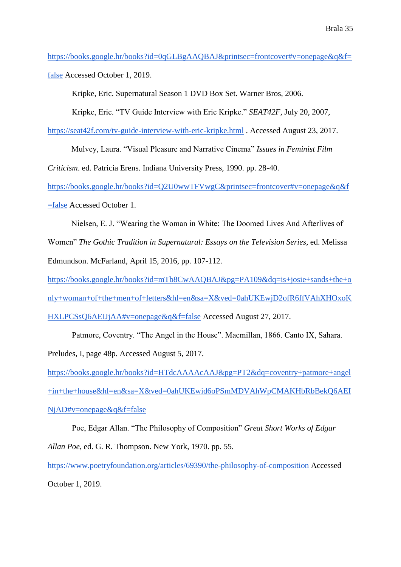[https://books.google.hr/books?id=0qGLBgAAQBAJ&printsec=frontcover#v=onepage&q&f=](https://books.google.hr/books?id=0qGLBgAAQBAJ&printsec=frontcover#v=onepage&q&f=false) [false](https://books.google.hr/books?id=0qGLBgAAQBAJ&printsec=frontcover#v=onepage&q&f=false) Accessed October 1, 2019.

Kripke, Eric. Supernatural Season 1 DVD Box Set. Warner Bros, 2006.

Kripke, Eric. "TV Guide Interview with Eric Kripke." *SEAT42F*, July 20, 2007,

<https://seat42f.com/tv-guide-interview-with-eric-kripke.html> . Accessed August 23, 2017.

Mulvey, Laura. "Visual Pleasure and Narrative Cinema" *Issues in Feminist Film* 

*Criticism*. ed. Patricia Erens. Indiana University Press, 1990. pp. 28-40.

[https://books.google.hr/books?id=Q2U0wwTFVwgC&printsec=frontcover#v=onepage&q&f](https://books.google.hr/books?id=Q2U0wwTFVwgC&printsec=frontcover#v=onepage&q&f=false) [=false](https://books.google.hr/books?id=Q2U0wwTFVwgC&printsec=frontcover#v=onepage&q&f=false) Accessed October 1.

Nielsen, E. J. "Wearing the Woman in White: The Doomed Lives And Afterlives of Women" *The Gothic Tradition in Supernatural: Essays on the Television Series*, ed. Melissa Edmundson. McFarland, April 15, 2016, pp. 107-112.

[https://books.google.hr/books?id=mTb8CwAAQBAJ&pg=PA109&dq=is+josie+sands+the+o](https://books.google.hr/books?id=mTb8CwAAQBAJ&pg=PA109&dq=is+josie+sands+the+only+woman+of+the+men+of+letters&hl=en&sa=X&ved=0ahUKEwjD2ofR6ffVAhXHOxoKHXLPCSsQ6AEIJjAA#v=onepage&q&f=false) [nly+woman+of+the+men+of+letters&hl=en&sa=X&ved=0ahUKEwjD2ofR6ffVAhXHOxoK](https://books.google.hr/books?id=mTb8CwAAQBAJ&pg=PA109&dq=is+josie+sands+the+only+woman+of+the+men+of+letters&hl=en&sa=X&ved=0ahUKEwjD2ofR6ffVAhXHOxoKHXLPCSsQ6AEIJjAA#v=onepage&q&f=false) [HXLPCSsQ6AEIJjAA#v=onepage&q&f=false](https://books.google.hr/books?id=mTb8CwAAQBAJ&pg=PA109&dq=is+josie+sands+the+only+woman+of+the+men+of+letters&hl=en&sa=X&ved=0ahUKEwjD2ofR6ffVAhXHOxoKHXLPCSsQ6AEIJjAA#v=onepage&q&f=false) Accessed August 27, 2017.

Patmore, Coventry. "The Angel in the House". Macmillan, 1866. Canto IX, Sahara. Preludes, I, page 48p. Accessed August 5, 2017.

[https://books.google.hr/books?id=HTdcAAAAcAAJ&pg=PT2&dq=coventry+patmore+angel](https://books.google.hr/books?id=HTdcAAAAcAAJ&pg=PT2&dq=coventry+patmore+angel+in+the+house&hl=en&sa=X&ved=0ahUKEwid6oPSmMDVAhWpCMAKHbRbBekQ6AEINjAD#v=onepage&q&f=false) [+in+the+house&hl=en&sa=X&ved=0ahUKEwid6oPSmMDVAhWpCMAKHbRbBekQ6AEI](https://books.google.hr/books?id=HTdcAAAAcAAJ&pg=PT2&dq=coventry+patmore+angel+in+the+house&hl=en&sa=X&ved=0ahUKEwid6oPSmMDVAhWpCMAKHbRbBekQ6AEINjAD#v=onepage&q&f=false) [NjAD#v=onepage&q&f=false](https://books.google.hr/books?id=HTdcAAAAcAAJ&pg=PT2&dq=coventry+patmore+angel+in+the+house&hl=en&sa=X&ved=0ahUKEwid6oPSmMDVAhWpCMAKHbRbBekQ6AEINjAD#v=onepage&q&f=false)

Poe, Edgar Allan. "The Philosophy of Composition" *Great Short Works of Edgar Allan Poe*, ed. G. R. Thompson. New York, 1970. pp. 55. <https://www.poetryfoundation.org/articles/69390/the-philosophy-of-composition> Accessed October 1, 2019.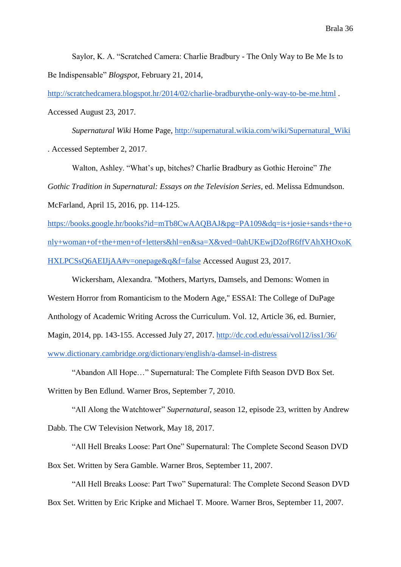Saylor, K. A. "Scratched Camera: Charlie Bradbury - The Only Way to Be Me Is to Be Indispensable" *Blogspot*, February 21, 2014,

<http://scratchedcamera.blogspot.hr/2014/02/charlie-bradburythe-only-way-to-be-me.html> . Accessed August 23, 2017.

*Supernatural Wiki* Home Page, [http://supernatural.wikia.com/wiki/Supernatural\\_Wiki](http://supernatural.wikia.com/wiki/Supernatural_Wiki) . Accessed September 2, 2017.

Walton, Ashley. "What's up, bitches? Charlie Bradbury as Gothic Heroine" *The Gothic Tradition in Supernatural: Essays on the Television Series*, ed. Melissa Edmundson. McFarland, April 15, 2016, pp. 114-125.

[https://books.google.hr/books?id=mTb8CwAAQBAJ&pg=PA109&dq=is+josie+sands+the+o](https://books.google.hr/books?id=mTb8CwAAQBAJ&pg=PA109&dq=is+josie+sands+the+only+woman+of+the+men+of+letters&hl=en&sa=X&ved=0ahUKEwjD2ofR6ffVAhXHOxoKHXLPCSsQ6AEIJjAA#v=onepage&q&f=false) [nly+woman+of+the+men+of+letters&hl=en&sa=X&ved=0ahUKEwjD2ofR6ffVAhXHOxoK](https://books.google.hr/books?id=mTb8CwAAQBAJ&pg=PA109&dq=is+josie+sands+the+only+woman+of+the+men+of+letters&hl=en&sa=X&ved=0ahUKEwjD2ofR6ffVAhXHOxoKHXLPCSsQ6AEIJjAA#v=onepage&q&f=false) [HXLPCSsQ6AEIJjAA#v=onepage&q&f=false](https://books.google.hr/books?id=mTb8CwAAQBAJ&pg=PA109&dq=is+josie+sands+the+only+woman+of+the+men+of+letters&hl=en&sa=X&ved=0ahUKEwjD2ofR6ffVAhXHOxoKHXLPCSsQ6AEIJjAA#v=onepage&q&f=false) Accessed August 23, 2017.

Wickersham, Alexandra. "Mothers, Martyrs, Damsels, and Demons: Women in Western Horror from Romanticism to the Modern Age," ESSAI: The College of DuPage Anthology of Academic Writing Across the Curriculum. Vol. 12, Article 36, ed. Burnier, Magin, 2014, pp. 143-155. Accessed July 27, 2017.<http://dc.cod.edu/essai/vol12/iss1/36/> [www.dictionary.cambridge.org/dictionary/english/a-damsel-in-distress](http://www.dictionary.cambridge.org/dictionary/english/a-damsel-in-distress)

"Abandon All Hope…" Supernatural: The Complete Fifth Season DVD Box Set. Written by Ben Edlund. Warner Bros, September 7, 2010.

"All Along the Watchtower" *Supernatural*, season 12, episode 23, written by Andrew Dabb. The CW Television Network, May 18, 2017.

"All Hell Breaks Loose: Part One" Supernatural: The Complete Second Season DVD Box Set. Written by Sera Gamble. Warner Bros, September 11, 2007.

"All Hell Breaks Loose: Part Two" Supernatural: The Complete Second Season DVD Box Set. Written by Eric Kripke and Michael T. Moore. Warner Bros, September 11, 2007.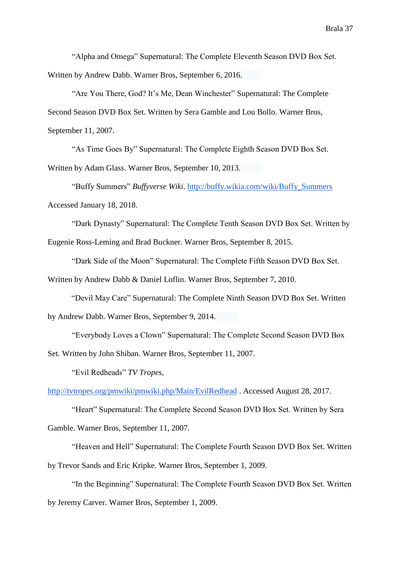"Alpha and Omega" Supernatural: The Complete Eleventh Season DVD Box Set. Written by Andrew Dabb. Warner Bros, September 6, 2016.

"Are You There, God? It's Me, Dean Winchester" Supernatural: The Complete Second Season DVD Box Set. Written by Sera Gamble and Lou Bollo. Warner Bros, September 11, 2007.

"As Time Goes By" Supernatural: The Complete Eighth Season DVD Box Set.

Written by Adam Glass. Warner Bros, September 10, 2013.

"Buffy Summers" *Buffyverse Wiki*. [http://buffy.wikia.com/wiki/Buffy\\_Summers](http://buffy.wikia.com/wiki/Buffy_Summers) Accessed January 18, 2018.

"Dark Dynasty" Supernatural: The Complete Tenth Season DVD Box Set. Written by

Eugenie Ross-Leming and Brad Buckner. Warner Bros, September 8, 2015.

"Dark Side of the Moon" Supernatural: The Complete Fifth Season DVD Box Set.

Written by Andrew Dabb & Daniel Loflin. Warner Bros, September 7, 2010.

"Devil May Care" Supernatural: The Complete Ninth Season DVD Box Set. Written

by Andrew Dabb. Warner Bros, September 9, 2014.

"Everybody Loves a Clown" Supernatural: The Complete Second Season DVD Box

Set. Written by John Shiban. Warner Bros, September 11, 2007.

"Evil Redheads" *TV Tropes*,

<http://tvtropes.org/pmwiki/pmwiki.php/Main/EvilRedhead> . Accessed August 28, 2017.

"Heart" Supernatural: The Complete Second Season DVD Box Set. Written by Sera Gamble. Warner Bros, September 11, 2007.

"Heaven and Hell" Supernatural: The Complete Fourth Season DVD Box Set. Written by Trevor Sands and Eric Kripke. Warner Bros, September 1, 2009.

"In the Beginning" Supernatural: The Complete Fourth Season DVD Box Set. Written by Jeremy Carver. Warner Bros, September 1, 2009.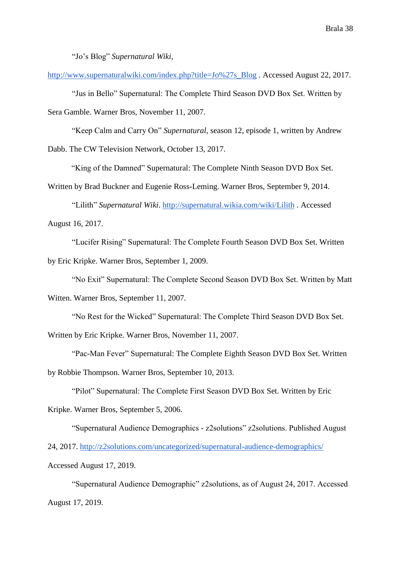"Jo's Blog" *Supernatural Wiki*,

[http://www.supernaturalwiki.com/index.php?title=Jo%27s\\_Blog](http://www.supernaturalwiki.com/index.php?title=Jo%27s_Blog) . Accessed August 22, 2017.

"Jus in Bello" Supernatural: The Complete Third Season DVD Box Set. Written by Sera Gamble. Warner Bros, November 11, 2007.

"Keep Calm and Carry On" *Supernatural*, season 12, episode 1, written by Andrew

Dabb. The CW Television Network, October 13, 2017.

"King of the Damned" Supernatural: The Complete Ninth Season DVD Box Set.

Written by Brad Buckner and Eugenie Ross-Leming. Warner Bros, September 9, 2014.

"Lilith" *Supernatural Wiki*.<http://supernatural.wikia.com/wiki/Lilith> . Accessed

August 16, 2017.

"Lucifer Rising" Supernatural: The Complete Fourth Season DVD Box Set. Written

by Eric Kripke. Warner Bros, September 1, 2009.

"No Exit" Supernatural: The Complete Second Season DVD Box Set. Written by Matt

Witten. Warner Bros, September 11, 2007.

"No Rest for the Wicked" Supernatural: The Complete Third Season DVD Box Set.

Written by Eric Kripke. Warner Bros, November 11, 2007.

"Pac-Man Fever" Supernatural: The Complete Eighth Season DVD Box Set. Written

by Robbie Thompson. Warner Bros, September 10, 2013.

"Pilot" Supernatural: The Complete First Season DVD Box Set. Written by Eric

Kripke. Warner Bros, September 5, 2006.

"Supernatural Audience Demographics - z2solutions" z2solutions. Published August

24, 2017.<http://z2solutions.com/uncategorized/supernatural-audience-demographics/>

Accessed August 17, 2019.

"Supernatural Audience Demographic" z2solutions, as of August 24, 2017. Accessed August 17, 2019.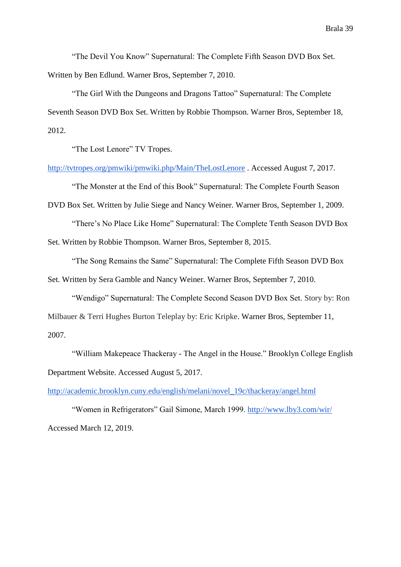"The Devil You Know" Supernatural: The Complete Fifth Season DVD Box Set. Written by Ben Edlund. Warner Bros, September 7, 2010.

"The Girl With the Dungeons and Dragons Tattoo" Supernatural: The Complete Seventh Season DVD Box Set. Written by Robbie Thompson. Warner Bros, September 18, 2012.

"The Lost Lenore" TV Tropes.

<http://tvtropes.org/pmwiki/pmwiki.php/Main/TheLostLenore> . Accessed August 7, 2017.

"The Monster at the End of this Book" Supernatural: The Complete Fourth Season

DVD Box Set. Written by Julie Siege and Nancy Weiner. Warner Bros, September 1, 2009.

"There's No Place Like Home" Supernatural: The Complete Tenth Season DVD Box Set. Written by Robbie Thompson. Warner Bros, September 8, 2015.

"The Song Remains the Same" Supernatural: The Complete Fifth Season DVD Box Set. Written by Sera Gamble and Nancy Weiner. Warner Bros, September 7, 2010.

"Wendigo" Supernatural: The Complete Second Season DVD Box Set. Story by: Ron Milbauer & Terri Hughes Burton Teleplay by: Eric Kripke. Warner Bros, September 11, 2007.

"William Makepeace Thackeray - The Angel in the House." Brooklyn College English Department Website. Accessed August 5, 2017.

[http://academic.brooklyn.cuny.edu/english/melani/novel\\_19c/thackeray/angel.html](http://academic.brooklyn.cuny.edu/english/melani/novel_19c/thackeray/angel.html)

"Women in Refrigerators" Gail Simone, March 1999.<http://www.lby3.com/wir/> Accessed March 12, 2019.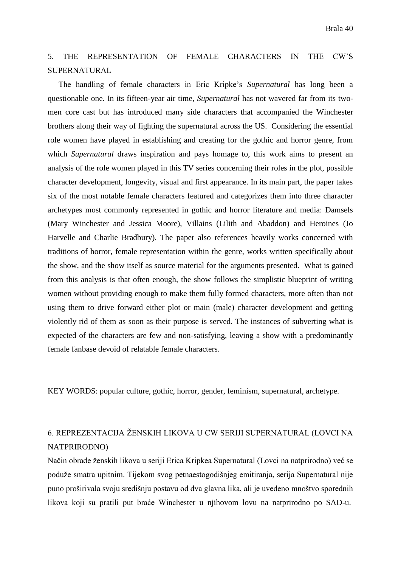# 5. THE REPRESENTATION OF FEMALE CHARACTERS IN THE CW'S SUPERNATURAL

 The handling of female characters in Eric Kripke's *Supernatural* has long been a questionable one. In its fifteen-year air time, *Supernatural* has not wavered far from its twomen core cast but has introduced many side characters that accompanied the Winchester brothers along their way of fighting the supernatural across the US. Considering the essential role women have played in establishing and creating for the gothic and horror genre, from which *Supernatural* draws inspiration and pays homage to, this work aims to present an analysis of the role women played in this TV series concerning their roles in the plot, possible character development, longevity, visual and first appearance. In its main part, the paper takes six of the most notable female characters featured and categorizes them into three character archetypes most commonly represented in gothic and horror literature and media: Damsels (Mary Winchester and Jessica Moore), Villains (Lilith and Abaddon) and Heroines (Jo Harvelle and Charlie Bradbury). The paper also references heavily works concerned with traditions of horror, female representation within the genre, works written specifically about the show, and the show itself as source material for the arguments presented. What is gained from this analysis is that often enough, the show follows the simplistic blueprint of writing women without providing enough to make them fully formed characters, more often than not using them to drive forward either plot or main (male) character development and getting violently rid of them as soon as their purpose is served. The instances of subverting what is expected of the characters are few and non-satisfying, leaving a show with a predominantly female fanbase devoid of relatable female characters.

KEY WORDS: popular culture, gothic, horror, gender, feminism, supernatural, archetype.

# 6. REPREZENTACIJA ŽENSKIH LIKOVA U CW SERIJI SUPERNATURAL (LOVCI NA NATPRIRODNO)

Način obrade ženskih likova u seriji Erica Kripkea Supernatural (Lovci na natprirodno) već se poduže smatra upitnim. Tijekom svog petnaestogodišnjeg emitiranja, serija Supernatural nije puno proširivala svoju središnju postavu od dva glavna lika, ali je uvedeno mnoštvo sporednih likova koji su pratili put braće Winchester u njihovom lovu na natprirodno po SAD-u.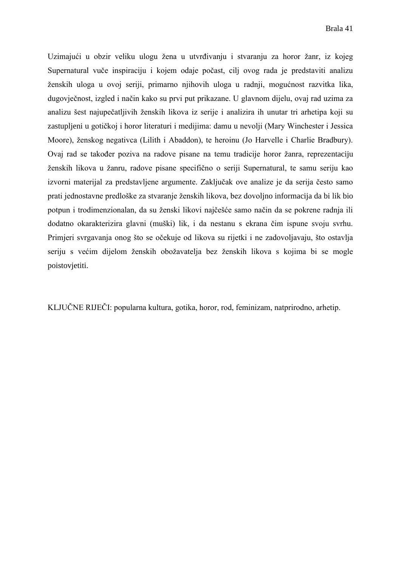Uzimajući u obzir veliku ulogu žena u utvrđivanju i stvaranju za horor žanr, iz kojeg Supernatural vuče inspiraciju i kojem odaje počast, cilj ovog rada je predstaviti analizu ženskih uloga u ovoj seriji, primarno njihovih uloga u radnji, mogućnost razvitka lika, dugovječnost, izgled i način kako su prvi put prikazane. U glavnom dijelu, ovaj rad uzima za analizu šest najupečatljivih ženskih likova iz serije i analizira ih unutar tri arhetipa koji su zastupljeni u gotičkoj i horor literaturi i medijima: damu u nevolji (Mary Winchester i Jessica Moore), ženskog negativca (Lilith i Abaddon), te heroinu (Jo Harvelle i Charlie Bradbury). Ovaj rad se također poziva na radove pisane na temu tradicije horor žanra, reprezentaciju ženskih likova u žanru, radove pisane specifično o seriji Supernatural, te samu seriju kao izvorni materijal za predstavljene argumente. Zaključak ove analize je da serija često samo prati jednostavne predloške za stvaranje ženskih likova, bez dovoljno informacija da bi lik bio potpun i trodimenzionalan, da su ženski likovi najčešće samo način da se pokrene radnja ili dodatno okarakterizira glavni (muški) lik, i da nestanu s ekrana čim ispune svoju svrhu. Primjeri svrgavanja onog što se očekuje od likova su rijetki i ne zadovoljavaju, što ostavlja seriju s većim dijelom ženskih obožavatelja bez ženskih likova s kojima bi se mogle poistovjetiti.

KLJUČNE RIJEČI: popularna kultura, gotika, horor, rod, feminizam, natprirodno, arhetip.